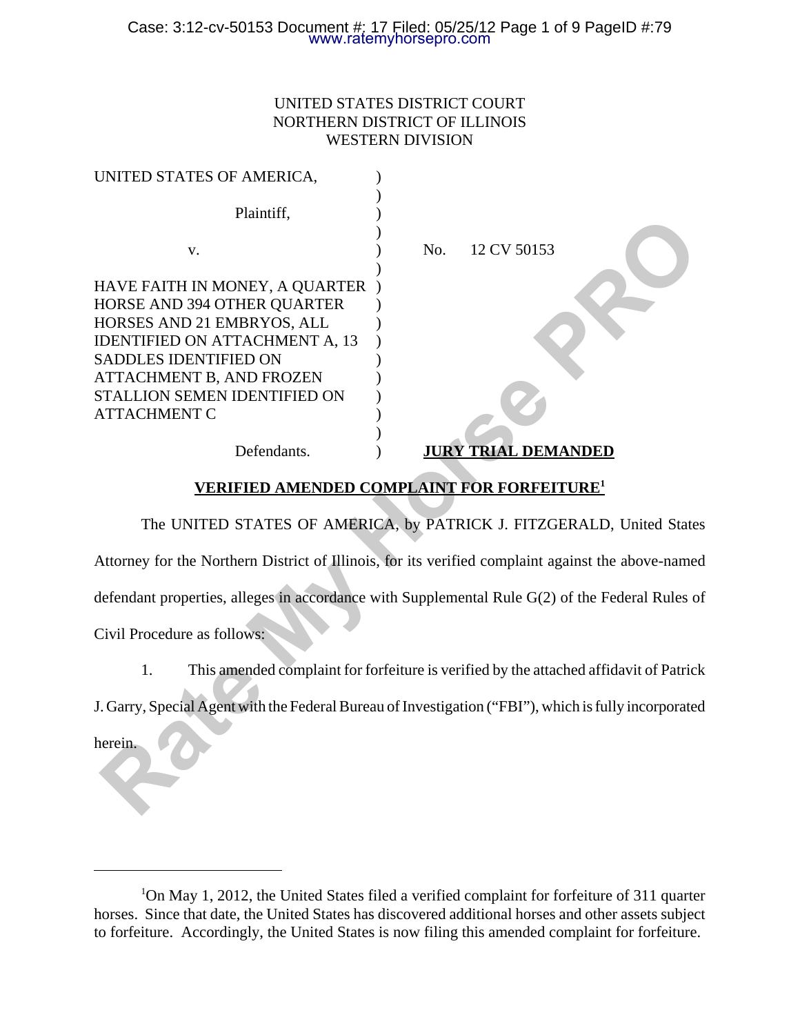### UNITED STATES DISTRICT COURT NORTHERN DISTRICT OF ILLINOIS WESTERN DIVISION

| UNITED STATES OF AMERICA,                                                                                                                                                                                                                        |                                                                                                       |
|--------------------------------------------------------------------------------------------------------------------------------------------------------------------------------------------------------------------------------------------------|-------------------------------------------------------------------------------------------------------|
| Plaintiff,                                                                                                                                                                                                                                       |                                                                                                       |
| V.                                                                                                                                                                                                                                               | No.<br>12 CV 50153                                                                                    |
| HAVE FAITH IN MONEY, A QUARTER<br>HORSE AND 394 OTHER QUARTER<br>HORSES AND 21 EMBRYOS, ALL<br><b>IDENTIFIED ON ATTACHMENT A, 13</b><br>SADDLES IDENTIFIED ON<br>ATTACHMENT B, AND FROZEN<br>STALLION SEMEN IDENTIFIED ON<br><b>ATTACHMENT C</b> |                                                                                                       |
| Defendants.                                                                                                                                                                                                                                      | <b>JURY TRIAL DEMANDED</b>                                                                            |
|                                                                                                                                                                                                                                                  | <b>VERIFIED AMENDED COMPLAINT FOR FORFEITURE<sup>1</sup></b>                                          |
|                                                                                                                                                                                                                                                  | The UNITED STATES OF AMERICA, by PATRICK J. FITZGERALD, United State                                  |
|                                                                                                                                                                                                                                                  | Attorney for the Northern District of Illinois, for its verified complaint against the above-named    |
|                                                                                                                                                                                                                                                  | defendant properties, alleges in accordance with Supplemental Rule G(2) of the Federal Rules o        |
| Civil Procedure as follows:                                                                                                                                                                                                                      |                                                                                                       |
| 1.                                                                                                                                                                                                                                               | This amended complaint for forfeiture is verified by the attached affidavit of Patricl                |
|                                                                                                                                                                                                                                                  | J. Garry, Special Agent with the Federal Bureau of Investigation ("FBI"), which is fully incorporated |
| herein.                                                                                                                                                                                                                                          |                                                                                                       |

### **VERIFIED AMENDED COMPLAINT FOR FORFEITURE1**

<sup>&</sup>lt;sup>1</sup>On May 1, 2012, the United States filed a verified complaint for forfeiture of 311 quarter horses. Since that date, the United States has discovered additional horses and other assets subject to forfeiture. Accordingly, the United States is now filing this amended complaint for forfeiture.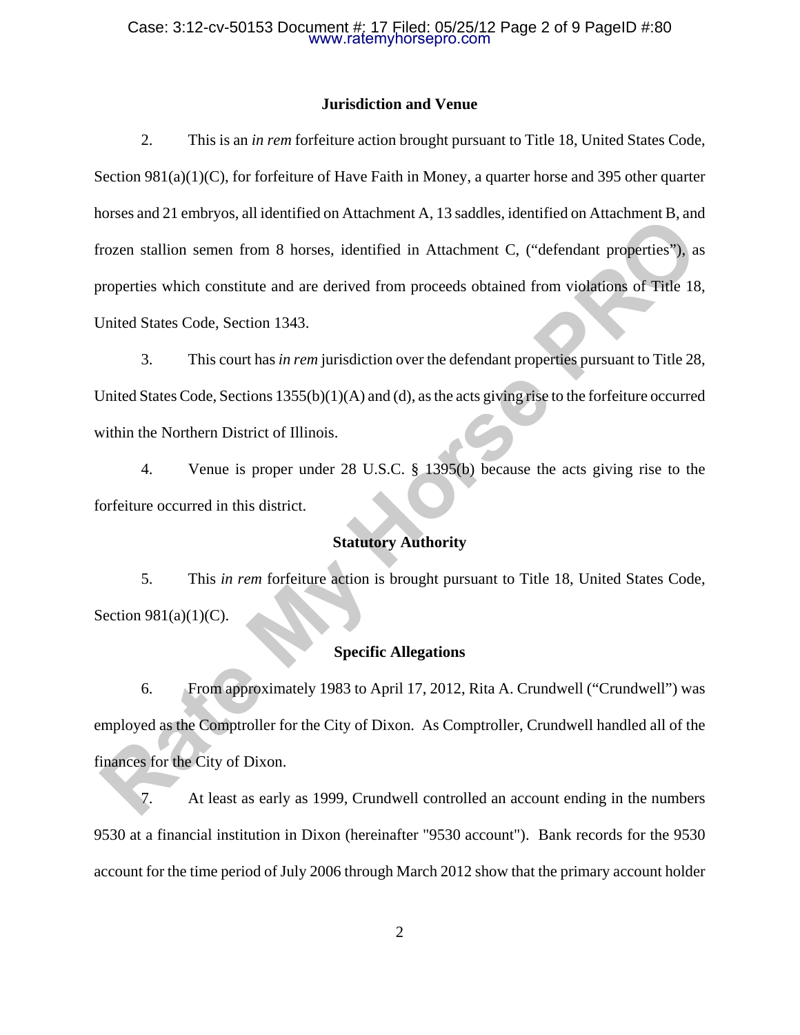#### Case: 3:12-cv-50153 Document #: 17 Filed: 05/25/12 Page 2 of 9 PageID #:80 www.ratemyhorsepro.com

### **Jurisdiction and Venue**

2. This is an *in rem* forfeiture action brought pursuant to Title 18, United States Code, Section 981(a)(1)(C), for forfeiture of Have Faith in Money, a quarter horse and 395 other quarter horses and 21 embryos, all identified on Attachment A, 13 saddles, identified on Attachment B, and frozen stallion semen from 8 horses, identified in Attachment C, ("defendant properties"), as properties which constitute and are derived from proceeds obtained from violations of Title 18, United States Code, Section 1343. Experimentation Nutation Association Nutation Nutation Nutation Nutation Nutation Nutation Nutation Nutation Nutation Nutation Nutation Nutation Nutation Server is when the concept of School School School School School Sch

3. This court has *in rem* jurisdiction over the defendant properties pursuant to Title 28, United States Code, Sections 1355(b)(1)(A) and (d), as the acts giving rise to the forfeiture occurred within the Northern District of Illinois.

4. Venue is proper under 28 U.S.C. § 1395(b) because the acts giving rise to the forfeiture occurred in this district.

### **Statutory Authority**

5. This *in rem* forfeiture action is brought pursuant to Title 18, United States Code, Section 981(a)(1)(C).

### **Specific Allegations**

6. From approximately 1983 to April 17, 2012, Rita A. Crundwell ("Crundwell") was employed as the Comptroller for the City of Dixon. As Comptroller, Crundwell handled all of the finances for the City of Dixon.

7. At least as early as 1999, Crundwell controlled an account ending in the numbers 9530 at a financial institution in Dixon (hereinafter "9530 account"). Bank records for the 9530 account for the time period of July 2006 through March 2012 show that the primary account holder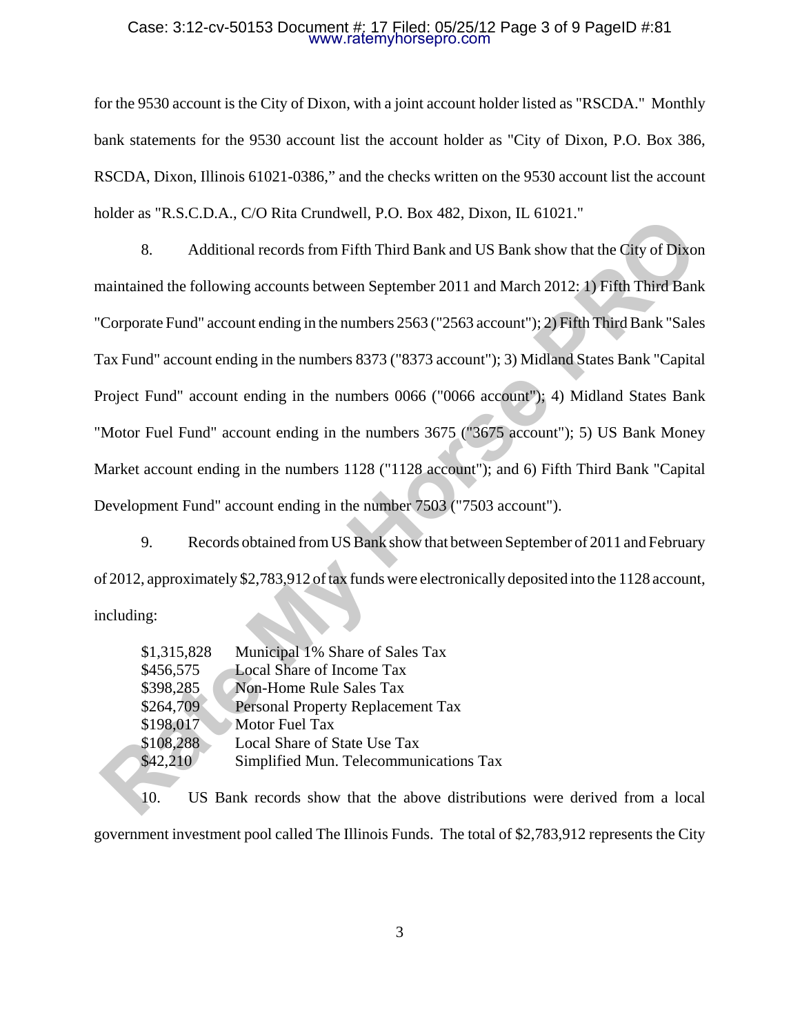#### Case: 3:12-cv-50153 Document #: 17 Filed: 05/25/12 Page 3 of 9 PageID #:81 www.ratemyhorsepro.com

for the 9530 account is the City of Dixon, with a joint account holder listed as "RSCDA." Monthly bank statements for the 9530 account list the account holder as "City of Dixon, P.O. Box 386, RSCDA, Dixon, Illinois 61021-0386," and the checks written on the 9530 account list the account holder as "R.S.C.D.A., C/O Rita Crundwell, P.O. Box 482, Dixon, IL 61021."

8. Additional records from Fifth Third Bank and US Bank show that the City of Dixon maintained the following accounts between September 2011 and March 2012: 1) Fifth Third Bank "Corporate Fund" account ending in the numbers 2563 ("2563 account"); 2) Fifth Third Bank "Sales Tax Fund" account ending in the numbers 8373 ("8373 account"); 3) Midland States Bank "Capital Project Fund" account ending in the numbers 0066 ("0066 account"); 4) Midland States Bank "Motor Fuel Fund" account ending in the numbers 3675 ("3675 account"); 5) US Bank Money Market account ending in the numbers 1128 ("1128 account"); and 6) Fifth Third Bank "Capital Development Fund" account ending in the number 7503 ("7503 account"). muer as K.3X.1.1.7.4, C.0 Kin Chinawell, F. 0. Box 462, Dixon, H. 01021.<br> **Raditional records from Fifth Third Bank and US Bank show that the City of Dixon<br>
Raintianed the following account shetween September 2011 and Marc** 

9. Records obtained from US Bank show that between September of 2011 and February of 2012, approximately \$2,783,912 of tax funds were electronically deposited into the 1128 account, including:

| \$1,315,828 | Municipal 1% Share of Sales Tax        |
|-------------|----------------------------------------|
| \$456,575   | <b>Local Share of Income Tax</b>       |
| \$398,285   | <b>Non-Home Rule Sales Tax</b>         |
| \$264,709   | Personal Property Replacement Tax      |
| \$198,017   | Motor Fuel Tax                         |
| \$108,288   | Local Share of State Use Tax           |
| \$42,210    | Simplified Mun. Telecommunications Tax |

10. US Bank records show that the above distributions were derived from a local government investment pool called The Illinois Funds. The total of \$2,783,912 represents the City

3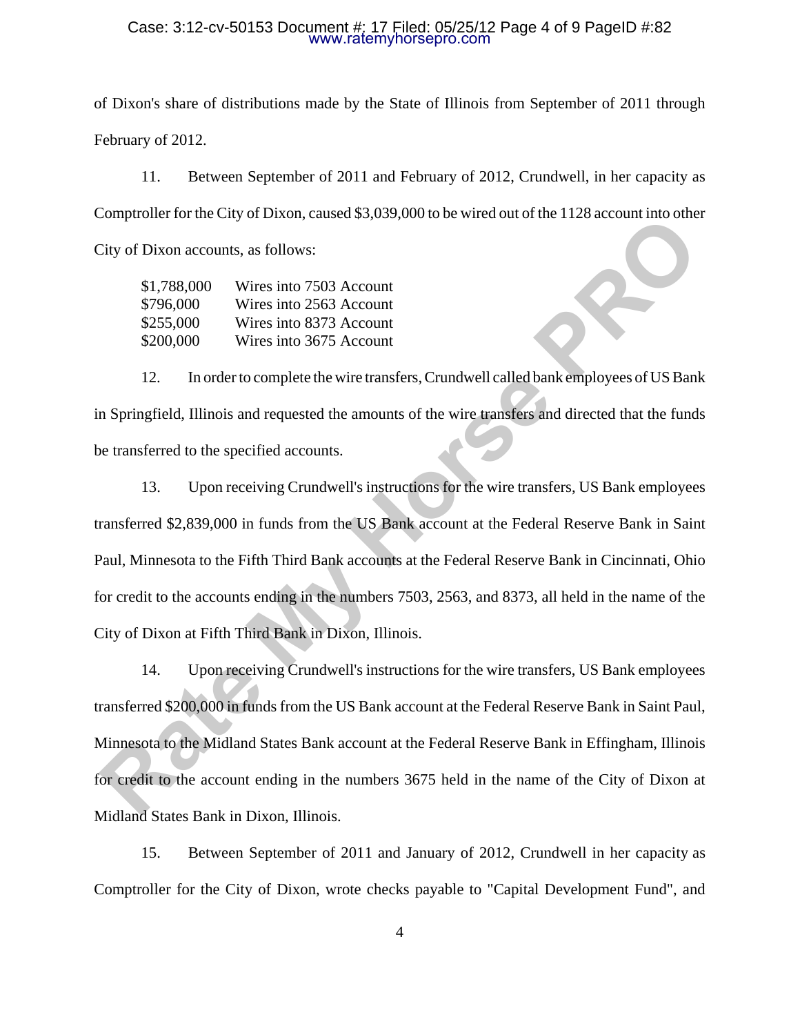#### Case: 3:12-cv-50153 Document #: 17 Filed: 05/25/12 Page 4 of 9 PageID #:82 www.ratemyhorsepro.com

of Dixon's share of distributions made by the State of Illinois from September of 2011 through February of 2012.

11. Between September of 2011 and February of 2012, Crundwell, in her capacity as Comptroller for the City of Dixon, caused \$3,039,000 to be wired out of the 1128 account into other City of Dixon accounts, as follows:

| \$1,788,000 | Wires into 7503 Account |
|-------------|-------------------------|
| \$796,000   | Wires into 2563 Account |
| \$255,000   | Wires into 8373 Account |
| \$200,000   | Wires into 3675 Account |

12. In order to complete the wire transfers, Crundwell called bank employees of US Bank in Springfield, Illinois and requested the amounts of the wire transfers and directed that the funds be transferred to the specified accounts.

13. Upon receiving Crundwell's instructions for the wire transfers, US Bank employees transferred \$2,839,000 in funds from the US Bank account at the Federal Reserve Bank in Saint Paul, Minnesota to the Fifth Third Bank accounts at the Federal Reserve Bank in Cincinnati, Ohio for credit to the accounts ending in the numbers 7503, 2563, and 8373, all held in the name of the City of Dixon at Fifth Third Bank in Dixon, Illinois. Chy of Dixon accounts, as follows:<br> **Rate My Horse Property Conservant Changes and Chy of Dixon account**<br> **Rate My Horse PROP** Wires into 2503 Account<br> **Rate STAR 000** Wires into 2503 Account<br> **Rate STAR 000** Wires into 26

14. Upon receiving Crundwell's instructions for the wire transfers, US Bank employees transferred \$200,000 in funds from the US Bank account at the Federal Reserve Bank in Saint Paul, Minnesota to the Midland States Bank account at the Federal Reserve Bank in Effingham, Illinois for credit to the account ending in the numbers 3675 held in the name of the City of Dixon at Midland States Bank in Dixon, Illinois.

15. Between September of 2011 and January of 2012, Crundwell in her capacity as Comptroller for the City of Dixon, wrote checks payable to "Capital Development Fund", and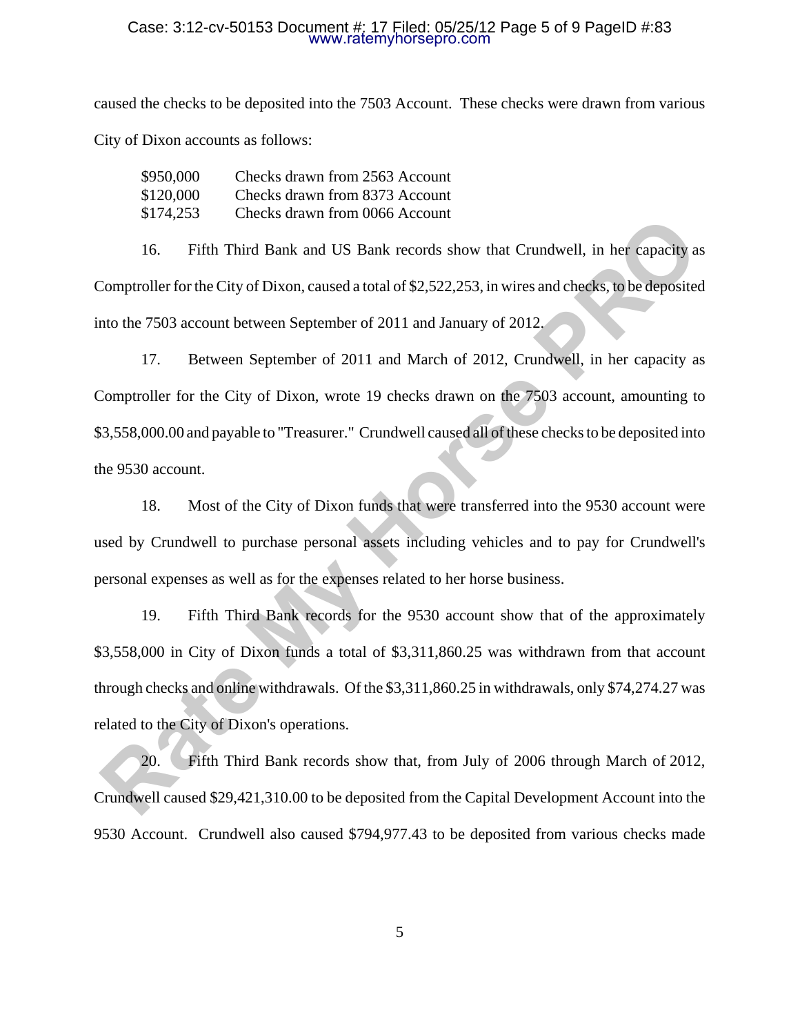#### Case: 3:12-cv-50153 Document #: 17 Filed: 05/25/12 Page 5 of 9 PageID #:83 www.ratemyhorsepro.com

caused the checks to be deposited into the 7503 Account. These checks were drawn from various City of Dixon accounts as follows:

| \$950,000 | Checks drawn from 2563 Account |
|-----------|--------------------------------|
| \$120,000 | Checks drawn from 8373 Account |
| \$174,253 | Checks drawn from 0066 Account |

16. Fifth Third Bank and US Bank records show that Crundwell, in her capacity as Comptroller for the City of Dixon, caused a total of \$2,522,253, in wires and checks, to be deposited into the 7503 account between September of 2011 and January of 2012.

17. Between September of 2011 and March of 2012, Crundwell, in her capacity as Comptroller for the City of Dixon, wrote 19 checks drawn on the 7503 account, amounting to \$3,558,000.00 and payable to "Treasurer." Crundwell caused all of these checks to be deposited into the 9530 account. **Rate Associates the My Horse Process and Associates**<br>
16. Fifth Third Bank and US Bank records show that Crundwell, in her capacity are<br>
20 comptroller for the City of Dixon, caused a total of \$2,522,233, in wires and cho

18. Most of the City of Dixon funds that were transferred into the 9530 account were used by Crundwell to purchase personal assets including vehicles and to pay for Crundwell's personal expenses as well as for the expenses related to her horse business.

19. Fifth Third Bank records for the 9530 account show that of the approximately \$3,558,000 in City of Dixon funds a total of \$3,311,860.25 was withdrawn from that account through checks and online withdrawals. Of the \$3,311,860.25 in withdrawals, only \$74,274.27 was related to the City of Dixon's operations.

20. Fifth Third Bank records show that, from July of 2006 through March of 2012, Crundwell caused \$29,421,310.00 to be deposited from the Capital Development Account into the 9530 Account. Crundwell also caused \$794,977.43 to be deposited from various checks made

5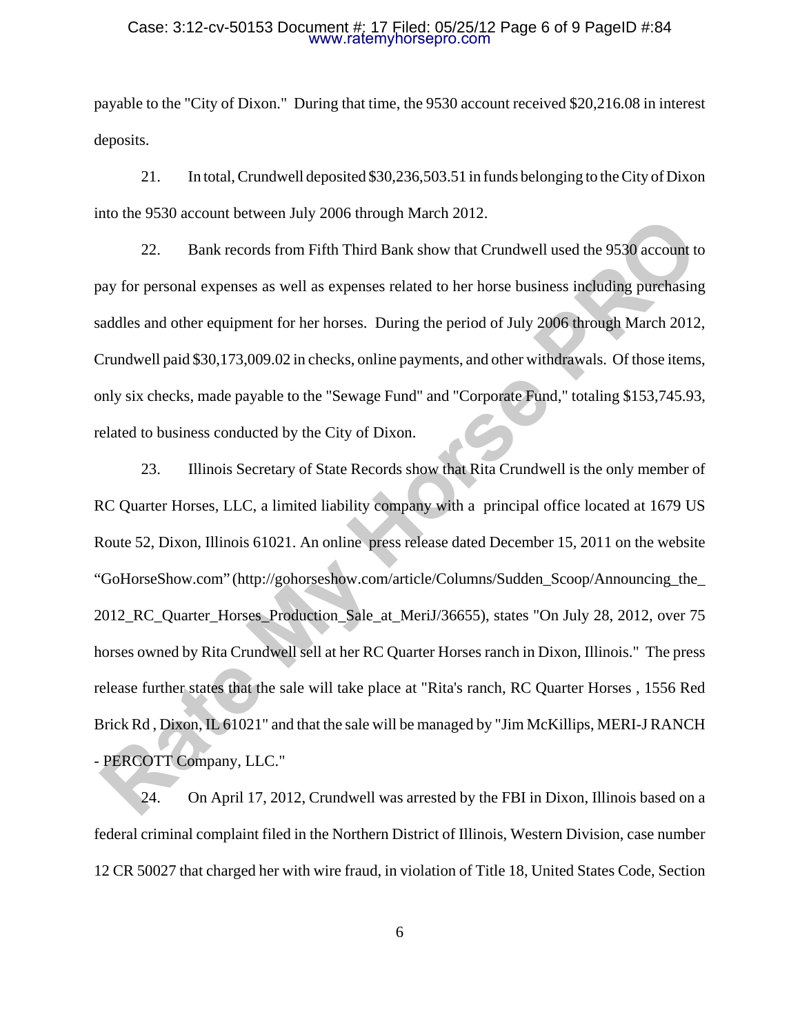#### Case: 3:12-cv-50153 Document #: 17 Filed: 05/25/12 Page 6 of 9 PageID #:84 www.ratemyhorsepro.com

payable to the "City of Dixon." During that time, the 9530 account received \$20,216.08 in interest deposits.

21. In total, Crundwell deposited \$30,236,503.51 in funds belonging to the City of Dixon into the 9530 account between July 2006 through March 2012.

22. Bank records from Fifth Third Bank show that Crundwell used the 9530 account to pay for personal expenses as well as expenses related to her horse business including purchasing saddles and other equipment for her horses. During the period of July 2006 through March 2012, Crundwell paid \$30,173,009.02 in checks, online payments, and other withdrawals. Of those items, only six checks, made payable to the "Sewage Fund" and "Corporate Fund," totaling \$153,745.93, related to business conducted by the City of Dixon.

23. Illinois Secretary of State Records show that Rita Crundwell is the only member of RC Quarter Horses, LLC, a limited liability company with a principal office located at 1679 US Route 52, Dixon, Illinois 61021. An online press release dated December 15, 2011 on the website "GoHorseShow.com" (http://gohorseshow.com/article/Columns/Sudden\_Scoop/Announcing\_the\_ 2012\_RC\_Quarter\_Horses\_Production\_Sale\_at\_MeriJ/36655), states "On July 28, 2012, over 75 horses owned by Rita Crundwell sell at her RC Quarter Horses ranch in Dixon, Illinois." The press release further states that the sale will take place at "Rita's ranch, RC Quarter Horses , 1556 Red Brick Rd , Dixon, IL 61021" and that the sale will be managed by "Jim McKillips, MERI-J RANCH - PERCOTT Company, LLC." The Wave the Solution Hetween any 2000 uniong Forther 2012.<br>
22. Bank records from Fifth Third Bank show that Crundwell used the 9530 account to<br>
22. Bank records from Fifth Third Bank show that Crundwell used the 9530 acc

24. On April 17, 2012, Crundwell was arrested by the FBI in Dixon, Illinois based on a federal criminal complaint filed in the Northern District of Illinois, Western Division, case number 12 CR 50027 that charged her with wire fraud, in violation of Title 18, United States Code, Section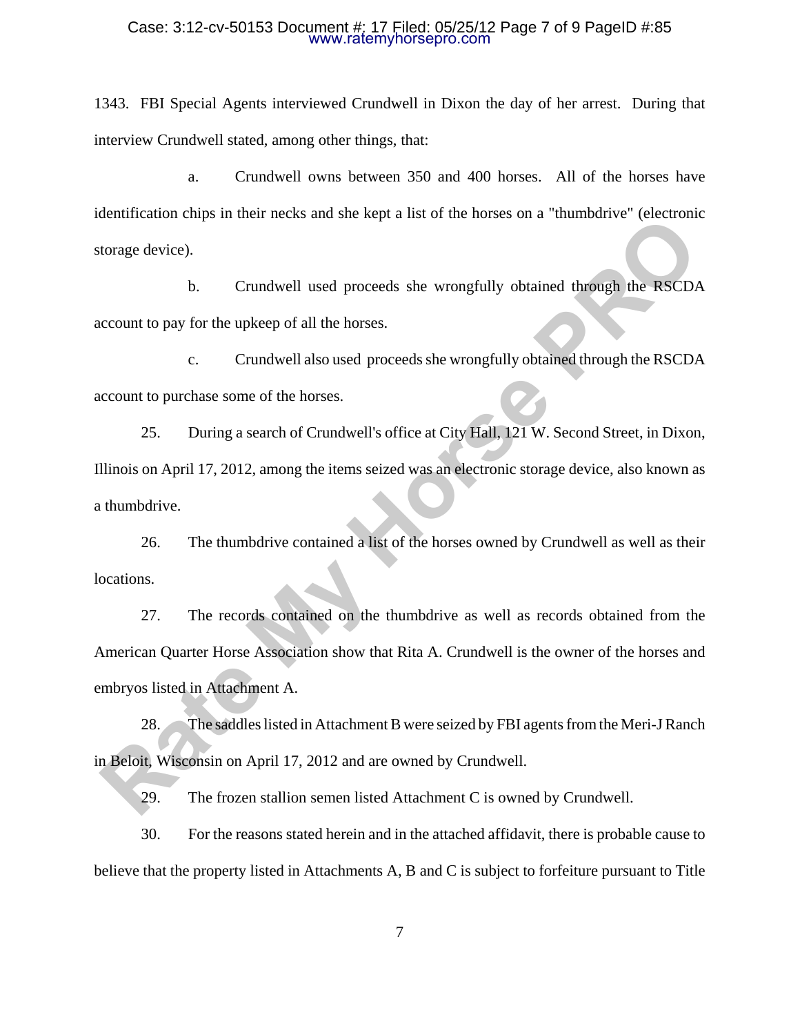#### Case: 3:12-cv-50153 Document #: 17 Filed: 05/25/12 Page 7 of 9 PageID #:85 www.ratemyhorsepro.com

1343. FBI Special Agents interviewed Crundwell in Dixon the day of her arrest. During that interview Crundwell stated, among other things, that:

a. Crundwell owns between 350 and 400 horses. All of the horses have identification chips in their necks and she kept a list of the horses on a "thumbdrive" (electronic storage device).

b. Crundwell used proceeds she wrongfully obtained through the RSCDA account to pay for the upkeep of all the horses.

c. Crundwell also used proceeds she wrongfully obtained through the RSCDA account to purchase some of the horses.

25. During a search of Crundwell's office at City Hall, 121 W. Second Street, in Dixon, Illinois on April 17, 2012, among the items seized was an electronic storage device, also known as a thumbdrive.

26. The thumbdrive contained a list of the horses owned by Crundwell as well as their locations.

27. The records contained on the thumbdrive as well as records obtained from the American Quarter Horse Association show that Rita A. Crundwell is the owner of the horses and embryos listed in Attachment A. **Rate My Horse III** and the section and she sept a not of the mosses of a "maintainver" effection<br>to transport of pay for the upkeep of all the horses.<br> **RACCON**<br> **RACCON**<br> **RACCON**<br> **RACCON**<br> **RACCON**<br> **RACCON**<br> **RACCON**<br>

28. The saddles listed in Attachment B were seized by FBI agents from the Meri-J Ranch in Beloit, Wisconsin on April 17, 2012 and are owned by Crundwell.

29. The frozen stallion semen listed Attachment C is owned by Crundwell.

30. For the reasons stated herein and in the attached affidavit, there is probable cause to believe that the property listed in Attachments A, B and C is subject to forfeiture pursuant to Title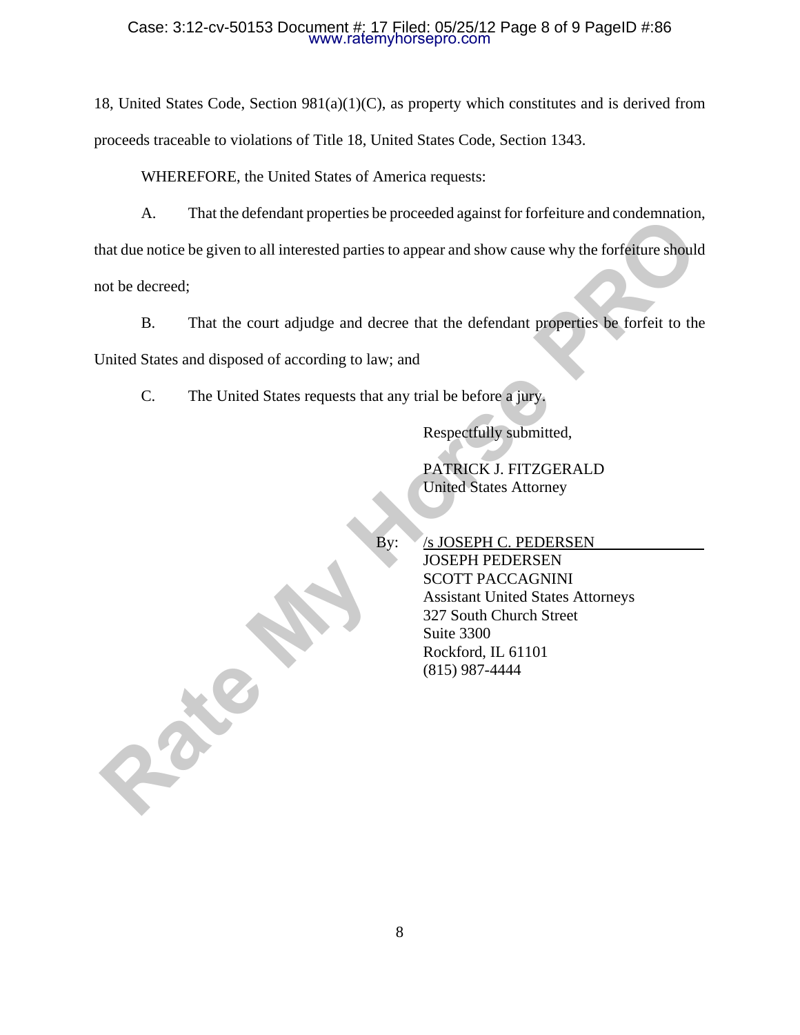#### Case: 3:12-cv-50153 Document #: 17 Filed: 05/25/12 Page 8 of 9 PageID #:86 www.ratemyhorsepro.com

18, United States Code, Section 981(a)(1)(C), as property which constitutes and is derived from proceeds traceable to violations of Title 18, United States Code, Section 1343.

WHEREFORE, the United States of America requests:

A. That the defendant properties be proceeded against for forfeiture and condemnation,

that due notice be given to all interested parties to appear and show cause why the forfeiture should not be decreed;

B. That the court adjudge and decree that the defendant properties be forfeit to the

United States and disposed of according to law; and

**Rate My** 

C. The United States requests that any trial be before a jury.

Respectfully submitted,

PATRICK J. FITZGERALD United States Attorney

By: /s JOSEPH C. PEDERSEN JOSEPH PEDERSEN SCOTT PACCAGNINI Assistant United States Attorneys 327 South Church Street Suite 3300 Rockford, IL 61101 (815) 987-4444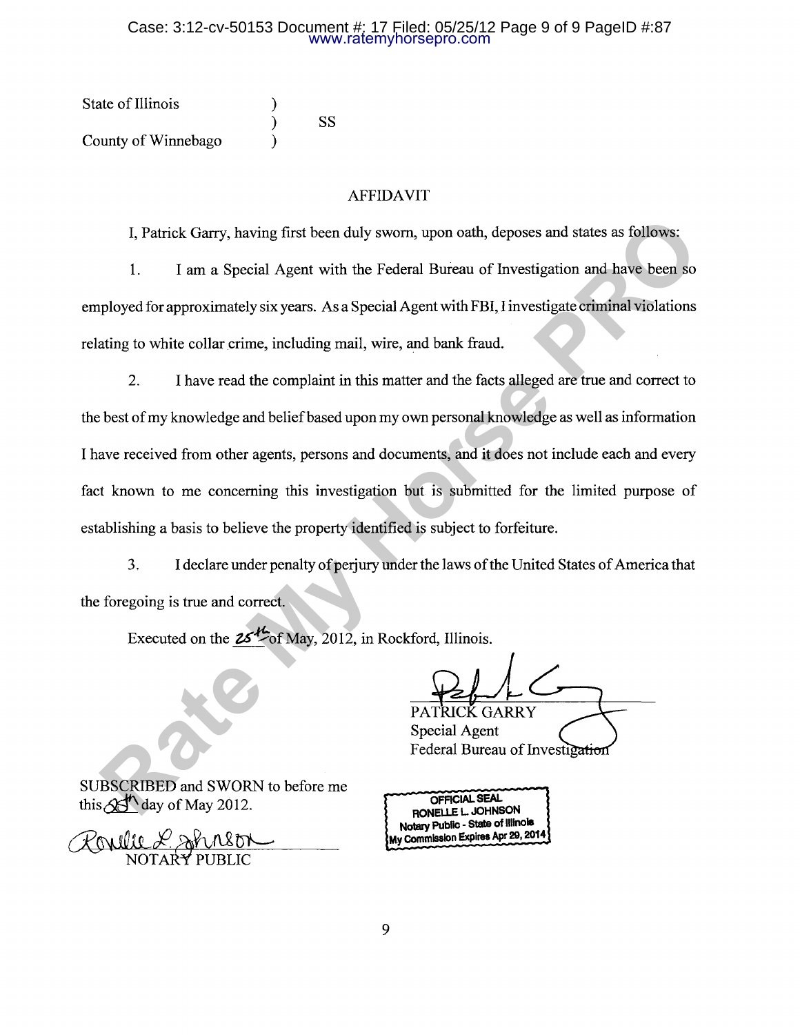#### Case: 3:12-cv-50153 Document #: 17 Filed: 05/25/12 Page 9 of 9 PageID #:87 www.ratemyhorsepro.com

| State of Illinois   |    |
|---------------------|----|
|                     | SS |
| County of Winnebago |    |

### AFFIDAVIT

I, Patrick Garry, having first been duly sworn, upon oath, deposes and states as follows:

1. I am a Special Agent with the Federal Bureau of Investigation and have been so employed for approximately six years. As a Special Agent with FBI, I investigate criminal violations relating to white collar crime, including mail, wire, and bank fraud.

2. I have read the complaint in this matter and the facts alleged are true and correct to the best of my knowledge and belief based upon my own personal knowledge as well as information I have received from other agents, persons and documents, and it does not include each and every fact known to me concerning this investigation but is submitted for the limited purpose of establishing a basis to believe the property identified is subject to forfeiture. **Ratrick Garry, having first been duly sworn, upon oath, deposes and states as follows:**<br>
1. **Fam a Special Agent with the Federal Bureau of Investigation and have been so<br>
ployed for approximately six years. As a Special** 

3. I declare under penalty of perjury under the laws of the United States of America that the foregoing is true and correct.

Executed on the  $25^{1/2}$  of May, 2012, in Rockford, Illinois.

Special Agent Federal Bureau of Investigation

SUBSCRIBED and SWORN to before me this  $\mathcal{A}$  day of May 2012.

**OFFICIAL SEAL RONELLE L JOHNSON Notary Public - State of Illinois My Commission Expires Apr 29, 2014**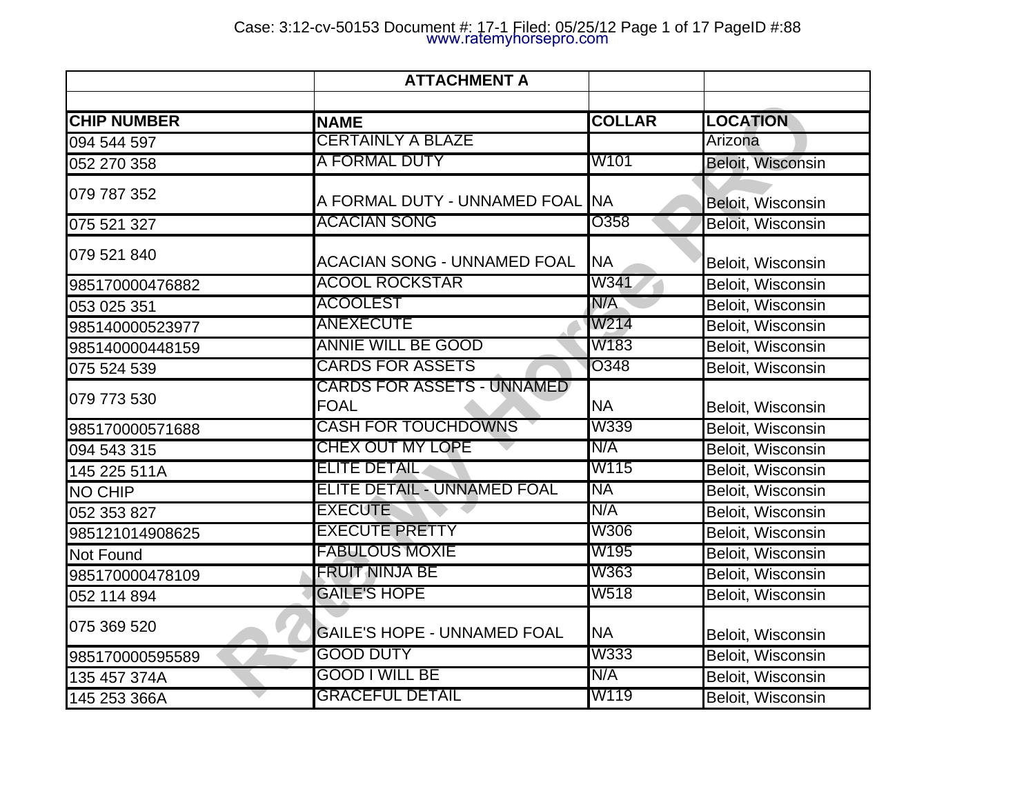| <b>CHIP NUMBER</b> | <b>NAME</b>                                      | <b>COLLAR</b> | <b>LOCATION</b>          |
|--------------------|--------------------------------------------------|---------------|--------------------------|
| 094 544 597        | <b>CERTAINLY A BLAZE</b>                         |               | Arizona                  |
| 052 270 358        | A FORMAL DUTY                                    | W101          | Beloit, Wisconsin        |
| 079 787 352        | A FORMAL DUTY - UNNAMED FOAL INA                 |               | Beloit, Wisconsin        |
| 075 521 327        | <b>ACACIAN SONG</b>                              | O358          | Beloit, Wisconsin        |
| 079 521 840        | <b>ACACIAN SONG - UNNAMED FOAL</b>               | <b>NA</b>     | Beloit, Wisconsin        |
| 985170000476882    | <b>ACOOL ROCKSTAR</b>                            | W341          | Beloit, Wisconsin        |
| 053 025 351        | <b>ACOOLEST</b>                                  | N/A           | Beloit, Wisconsin        |
| 985140000523977    | <b>ANEXECUTE</b>                                 | W214          | Beloit, Wisconsin        |
| 985140000448159    | <b>ANNIE WILL BE GOOD</b>                        | W183          | Beloit, Wisconsin        |
| 075 524 539        | <b>CARDS FOR ASSETS</b>                          | O348          | Beloit, Wisconsin        |
| 079 773 530        | <b>CARDS FOR ASSETS - UNNAMED</b><br><b>FOAL</b> | <b>NA</b>     | Beloit, Wisconsin        |
| 985170000571688    | <b>CASH FOR TOUCHDOWNS</b>                       | W339          | Beloit, Wisconsin        |
| 094 543 315        | CHEX OUT MY LOPE                                 | N/A           | <b>Beloit, Wisconsin</b> |
| 145 225 511A       | <b>ELITE DETAIL</b>                              | W115          | Beloit, Wisconsin        |
| <b>NO CHIP</b>     | <b>ELITE DETAIL - UNNAMED FOAL</b>               | <b>NA</b>     | Beloit, Wisconsin        |
| 052 353 827        | <b>EXECUTE</b>                                   | N/A           | Beloit, Wisconsin        |
| 985121014908625    | <b>EXECUTE PRETTY</b>                            | <b>W306</b>   | Beloit, Wisconsin        |
| Not Found          | <b>FABULOUS MOXIE</b>                            | W195          | <b>Beloit, Wisconsin</b> |
| 985170000478109    | <b>FRUIT NINJA BE</b>                            | W363          | Beloit, Wisconsin        |
| 052 114 894        | <b>GAILE'S HOPE</b>                              | W518          | <b>Beloit, Wisconsin</b> |
| 075 369 520        | GAILE'S HOPE - UNNAMED FOAL                      | <b>NA</b>     | Beloit, Wisconsin        |
| 985170000595589    | GOOD DUTY                                        | W333          | <b>Beloit, Wisconsin</b> |
| 135 457 374A       | <b>GOOD I WILL BE</b>                            | N/A           | Beloit, Wisconsin        |
| 145 253 366A       | <b>GRACEFUL DETAIL</b>                           | W119          | <b>Beloit, Wisconsin</b> |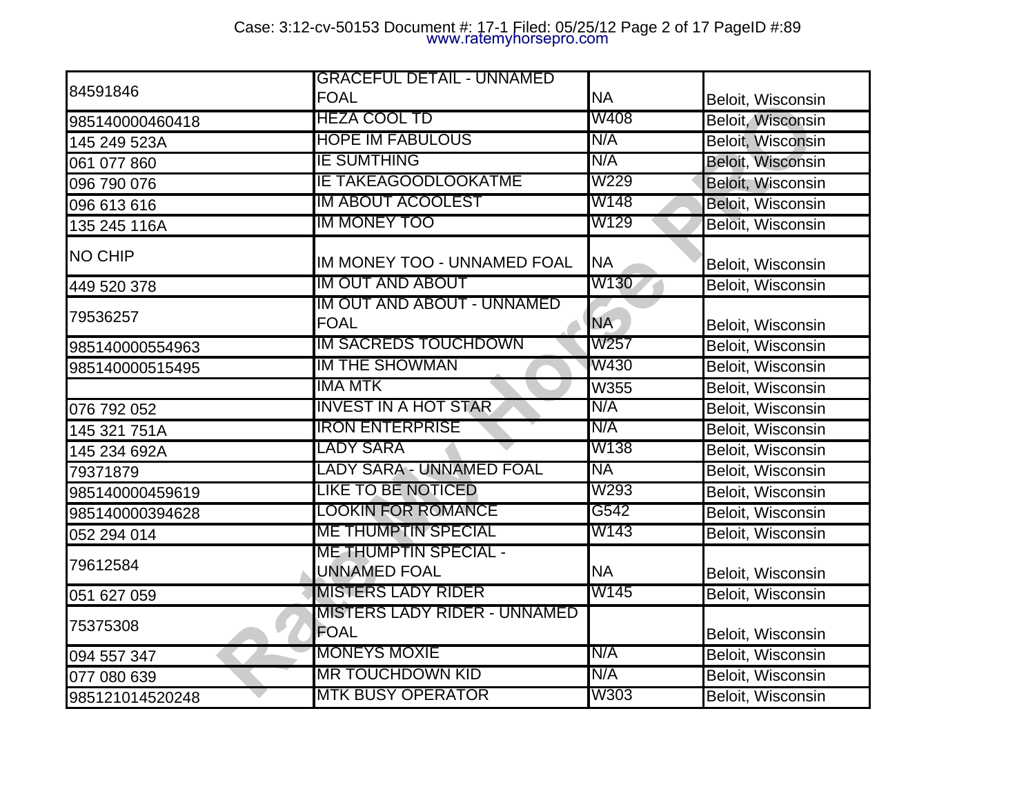|                 | <b>GRACEFUL DETAIL - UNNAMED</b>                    |           |                          |
|-----------------|-----------------------------------------------------|-----------|--------------------------|
| 84591846        | <b>FOAL</b>                                         | <b>NA</b> | Beloit, Wisconsin        |
| 985140000460418 | <b>HEZA COOL TD</b>                                 | W408      | Beloit, Wisconsin        |
| 145 249 523A    | <b>HOPE IM FABULOUS</b>                             | N/A       | <b>Beloit, Wisconsin</b> |
| 061 077 860     | IE SUMTHING                                         | N/A       | <b>Beloit, Wisconsin</b> |
| 096 790 076     | <b>IE TAKEAGOODLOOKATME</b>                         | W229      | Beloit, Wisconsin        |
| 096 613 616     | <b>IM ABOUT ACOOLEST</b>                            | W148      | Beloit, Wisconsin        |
| 135 245 116A    | <b>IM MONEY TOO</b>                                 | W129      | Beloit, Wisconsin        |
| <b>NO CHIP</b>  | IM MONEY TOO - UNNAMED FOAL                         | <b>NA</b> | Beloit, Wisconsin        |
| 449 520 378     | <b>IM OUT AND ABOUT</b>                             | W130      | Beloit, Wisconsin        |
| 79536257        | IM OUT AND ABOUT - UNNAMED<br><b>FOAL</b>           | <b>NA</b> | Beloit, Wisconsin        |
| 985140000554963 | <b>IM SACREDS TOUCHDOWN</b>                         | W257      | Beloit, Wisconsin        |
| 985140000515495 | <b>IM THE SHOWMAN</b>                               | W430      | Beloit, Wisconsin        |
|                 | IMA MTK                                             | W355      | Beloit, Wisconsin        |
| 076 792 052     | <b>INVEST IN A HOT STAR</b>                         | N/A       | <b>Beloit, Wisconsin</b> |
| 145 321 751A    | <b>IRON ENTERPRISE</b>                              | N/A       | Beloit, Wisconsin        |
| 145 234 692A    | LADY SARA                                           | W138      | <b>Beloit, Wisconsin</b> |
| 79371879        | LADY SARA - UNNAMED FOAL                            | <b>NA</b> | Beloit, Wisconsin        |
| 985140000459619 | <b>LIKE TO BE NOTICED</b>                           | W293      | <b>Beloit, Wisconsin</b> |
| 985140000394628 | LOOKIN FOR ROMANCE                                  | G542      | <b>Beloit, Wisconsin</b> |
| 052 294 014     | <b>ME THUMPTIN SPECIAL</b>                          | W143      | Beloit, Wisconsin        |
| 79612584        | <b>ME THUMPTIN SPECIAL -</b><br><b>UNNAMED FOAL</b> | <b>NA</b> | Beloit, Wisconsin        |
| 051 627 059     | <b>MISTERS LADY RIDER</b>                           | W145      | Beloit, Wisconsin        |
| 75375308        | <b>MISTERS LADY RIDER - UNNAMED</b><br>FOAL         |           | Beloit, Wisconsin        |
| 094 557 347     | <b>MONEYS MOXIE</b>                                 | N/A       | <b>Beloit, Wisconsin</b> |
| 077 080 639     | <b>MR TOUCHDOWN KID</b>                             | N/A       | <b>Beloit, Wisconsin</b> |
| 985121014520248 | <b>MTK BUSY OPERATOR</b>                            | W303      | Beloit, Wisconsin        |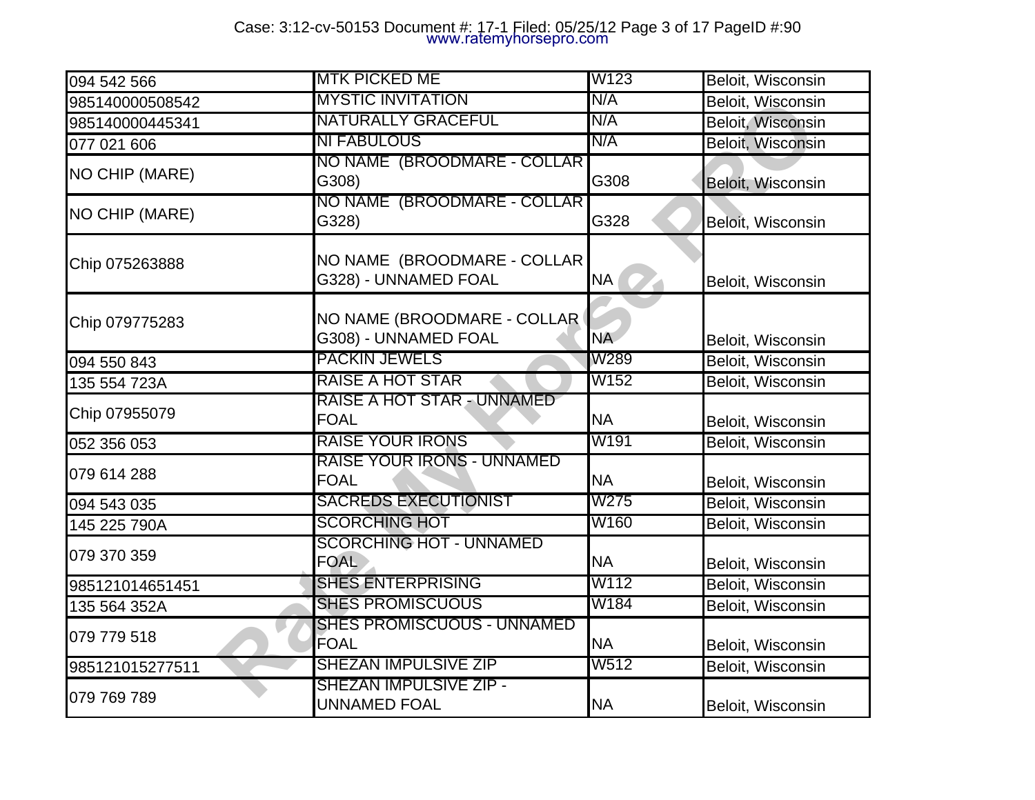| 094 542 566           | <b>MTK PICKED ME</b>                                | W123      | Beloit, Wisconsin        |
|-----------------------|-----------------------------------------------------|-----------|--------------------------|
| 985140000508542       | <b>MYSTIC INVITATION</b>                            | N/A       | Beloit, Wisconsin        |
| 985140000445341       | <b>NATURALLY GRACEFUL</b>                           | N/A       | Beloit, Wisconsin        |
| 077 021 606           | <b>NI FABULOUS</b>                                  | N/A       | Beloit, Wisconsin        |
| <b>NO CHIP (MARE)</b> | NO NAME (BROODMARE - COLLAR)<br>G308)               | G308      | Beloit, Wisconsin        |
| NO CHIP (MARE)        | NO NAME (BROODMARE - COLLAR)<br>G328)               | G328      | Beloit, Wisconsin        |
| Chip 075263888        | NO NAME (BROODMARE - COLLAR<br>G328) - UNNAMED FOAL | NA (      | Beloit, Wisconsin        |
| Chip 079775283        | NO NAME (BROODMARE - COLLAR<br>G308) - UNNAMED FOAL | <b>NA</b> | Beloit, Wisconsin        |
| 094 550 843           | <b>PACKIN JEWELS</b>                                | W289      | <b>Beloit, Wisconsin</b> |
| 135 554 723A          | RAISE A HOT STAR                                    | W152      | Beloit, Wisconsin        |
| Chip 07955079         | RAISE A HOT STAR - UNNAMED<br><b>FOAL</b>           | <b>NA</b> | Beloit, Wisconsin        |
| 052 356 053           | <b>RAISE YOUR IRONS</b>                             | W191      | Beloit, Wisconsin        |
| 079 614 288           | RAISE YOUR IRONS - UNNAMED<br><b>FOAL</b>           | <b>NA</b> | Beloit, Wisconsin        |
| 094 543 035           | <b>SACREDS EXECUTIONIST</b>                         | W275      | Beloit, Wisconsin        |
| 145 225 790A          | <b>SCORCHING HOT</b>                                | W160      | Beloit, Wisconsin        |
| 079 370 359           | <b>SCORCHING HOT - UNNAMED</b><br><b>FOAL</b>       | <b>NA</b> | Beloit, Wisconsin        |
| 985121014651451       | <b>SHES ENTERPRISING</b>                            | W112      | Beloit, Wisconsin        |
| 135 564 352A          | <b>SHES PROMISCUOUS</b>                             | W184      | Beloit, Wisconsin        |
| 079 779 518           | <b>SHES PROMISCUOUS - UNNAMED</b><br>FOAL           | <b>NA</b> | Beloit, Wisconsin        |
| 985121015277511       | <b>SHEZAN IMPULSIVE ZIP</b>                         | W512      | Beloit, Wisconsin        |
| 079 769 789           | <b>SHEZAN IMPULSIVE ZIP -</b>                       |           |                          |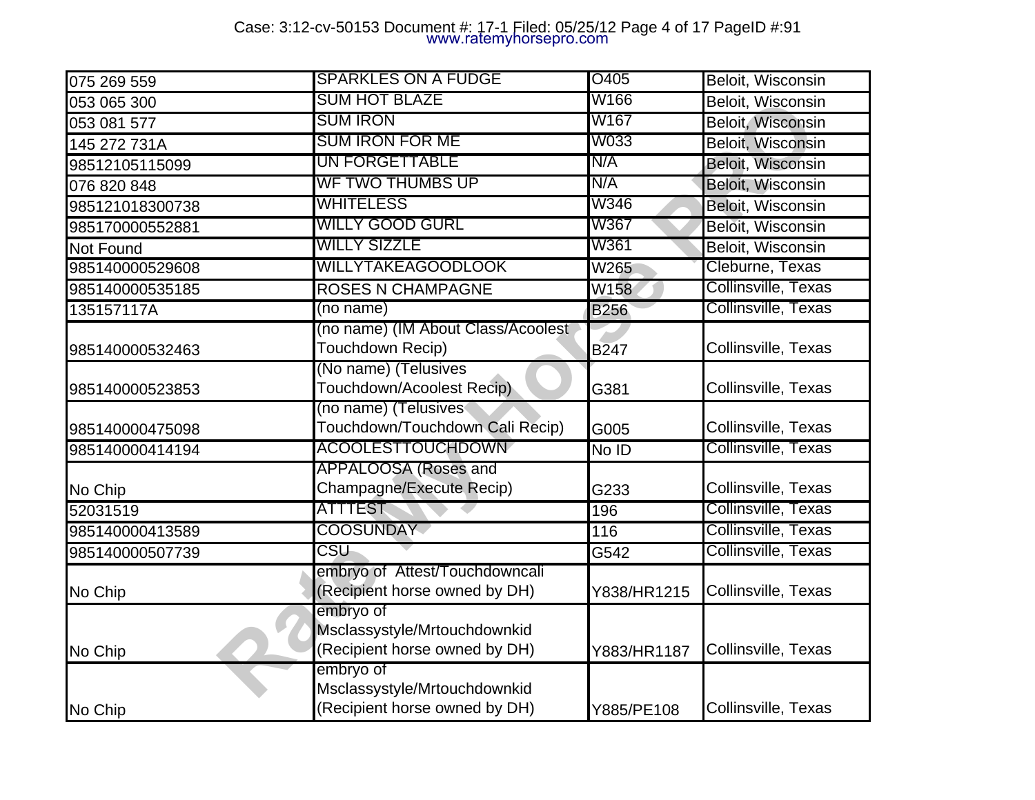# Case: 3:12-cv-50153 Document #: 17-1 Filed: 05/25/12 Page 4 of 17 PageID #:91 www.ratemyhorsepro.com

| 075 269 559     | <b>SPARKLES ON A FUDGE</b>                                                 | O405              | Beloit, Wisconsin        |
|-----------------|----------------------------------------------------------------------------|-------------------|--------------------------|
| 053 065 300     | <b>SUM HOT BLAZE</b>                                                       | W166              | <b>Beloit, Wisconsin</b> |
| 053 081 577     | <b>SUM IRON</b>                                                            | W167              | Beloit, Wisconsin        |
| 145 272 731A    | <b>SUM IRON FOR ME</b>                                                     | W033              | <b>Beloit, Wisconsin</b> |
| 98512105115099  | <b>UN FORGETTABLE</b>                                                      | N/A               | <b>Beloit, Wisconsin</b> |
| 076 820 848     | <b>WF TWO THUMBS UP</b>                                                    | N/A               | <b>Beloit, Wisconsin</b> |
| 985121018300738 | WHITELESS                                                                  | W346              | <b>Beloit, Wisconsin</b> |
| 985170000552881 | <b>WILLY GOOD GURL</b>                                                     | W367              | Beloit, Wisconsin        |
| Not Found       | <b>WILLY SIZZLE</b>                                                        | W361              | <b>Beloit, Wisconsin</b> |
| 985140000529608 | <b>WILLYTAKEAGOODLOOK</b>                                                  | W265              | Cleburne, Texas          |
| 985140000535185 | <b>ROSES N CHAMPAGNE</b>                                                   | W158              | Collinsville, Texas      |
| 135157117A      | (no name)                                                                  | <b>B256</b>       | Collinsville, Texas      |
| 985140000532463 | (no name) (IM About Class/Acoolest<br>Touchdown Recip)                     | <b>B247</b>       | Collinsville, Texas      |
| 985140000523853 | (No name) (Telusives<br>Touchdown/Acoolest Recip)                          | G381              | Collinsville, Texas      |
| 985140000475098 | (no name) (Telusives<br>Touchdown/Touchdown Cali Recip)                    | G005              | Collinsville, Texas      |
| 985140000414194 | <b>ACOOLESTTOUCHDOWN</b>                                                   | No ID             | Collinsville, Texas      |
| No Chip         | APPALOOSA (Roses and<br>Champagne/Execute Recip)                           | G233              | Collinsville, Texas      |
| 52031519        | ATTTEST                                                                    | 196               | Collinsville, Texas      |
| 985140000413589 | <b>COOSUNDAY</b>                                                           | 116               | Collinsville, Texas      |
| 985140000507739 | CSU                                                                        | $\overline{G542}$ | Collinsville, Texas      |
| No Chip         | embryo of Attest/Touchdowncali<br>(Recipient horse owned by DH)            | Y838/HR1215       | Collinsville, Texas      |
| No Chip         | embryo of<br>Msclassystyle/Mrtouchdownkid<br>(Recipient horse owned by DH) | Y883/HR1187       | Collinsville, Texas      |
| No Chip         | embryo of<br>Msclassystyle/Mrtouchdownkid<br>(Recipient horse owned by DH) | Y885/PE108        | Collinsville, Texas      |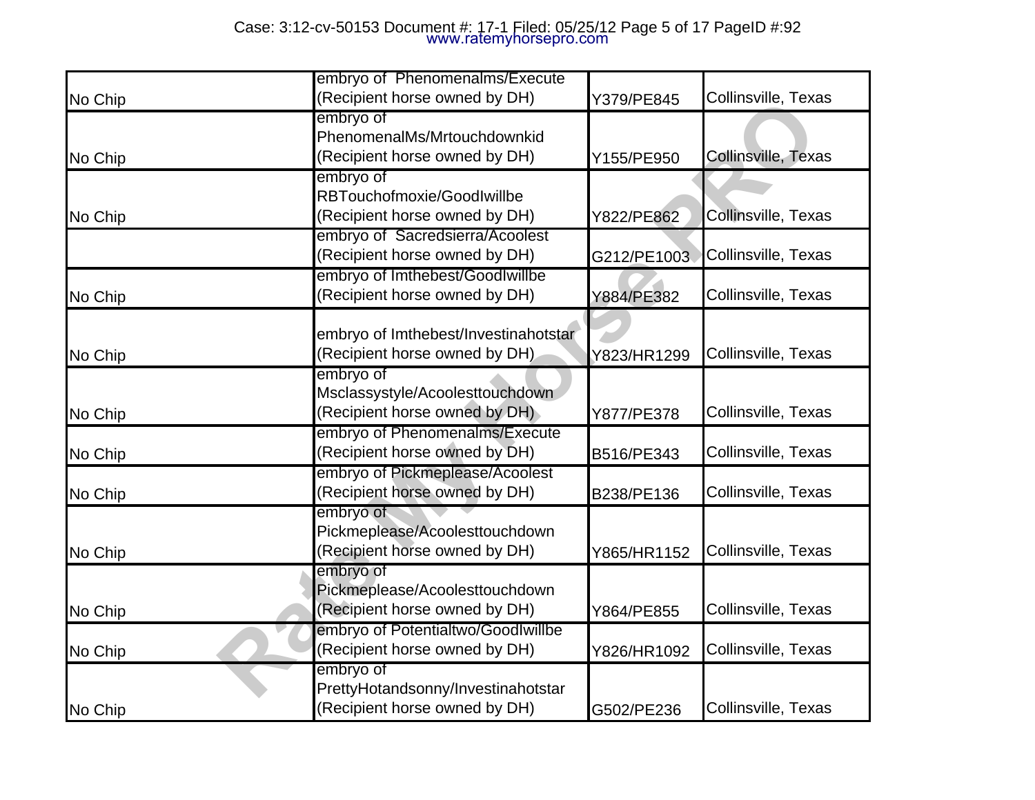|         | embryo of Phenomenalms/Execute       |             |                     |
|---------|--------------------------------------|-------------|---------------------|
| No Chip | (Recipient horse owned by DH)        | Y379/PE845  | Collinsville, Texas |
|         | embryo of                            |             |                     |
|         | PhenomenalMs/Mrtouchdownkid          |             |                     |
| No Chip | (Recipient horse owned by DH)        | Y155/PE950  | Collinsville, Texas |
|         | embryo of                            |             |                     |
|         | RBTouchofmoxie/GoodIwillbe           |             |                     |
| No Chip | (Recipient horse owned by DH)        | Y822/PE862  | Collinsville, Texas |
|         | embryo of Sacredsierra/Acoolest      |             |                     |
|         | (Recipient horse owned by DH)        | G212/PE1003 | Collinsville, Texas |
|         | embryo of Imthebest/Goodlwillbe      |             |                     |
| No Chip | (Recipient horse owned by DH)        | Y884/PE382  | Collinsville, Texas |
|         |                                      |             |                     |
|         | embryo of Imthebest/Investinahotstar |             |                     |
| No Chip | (Recipient horse owned by DH)        | Y823/HR1299 | Collinsville, Texas |
|         | embryo of                            |             |                     |
|         | Msclassystyle/Acoolesttouchdown      |             |                     |
| No Chip | (Recipient horse owned by DH)        | Y877/PE378  | Collinsville, Texas |
|         | embryo of Phenomenalms/Execute       |             |                     |
| No Chip | (Recipient horse owned by DH)        | B516/PE343  | Collinsville, Texas |
|         | embryo of Pickmeplease/Acoolest      |             |                     |
| No Chip | (Recipient horse owned by DH)        | B238/PE136  | Collinsville, Texas |
|         | embryo of                            |             |                     |
|         | Pickmeplease/Acoolesttouchdown       |             |                     |
| No Chip | (Recipient horse owned by DH)        | Y865/HR1152 | Collinsville, Texas |
|         | embryo of                            |             |                     |
|         | Pickmeplease/Acoolesttouchdown       |             |                     |
| No Chip | (Recipient horse owned by DH)        | Y864/PE855  | Collinsville, Texas |
|         | embryo of Potentialtwo/Goodlwillbe   |             |                     |
| No Chip | (Recipient horse owned by DH)        | Y826/HR1092 | Collinsville, Texas |
|         | embryo of                            |             |                     |
|         | PrettyHotandsonny/Investinahotstar   |             |                     |
| No Chip | (Recipient horse owned by DH)        | G502/PE236  | Collinsville, Texas |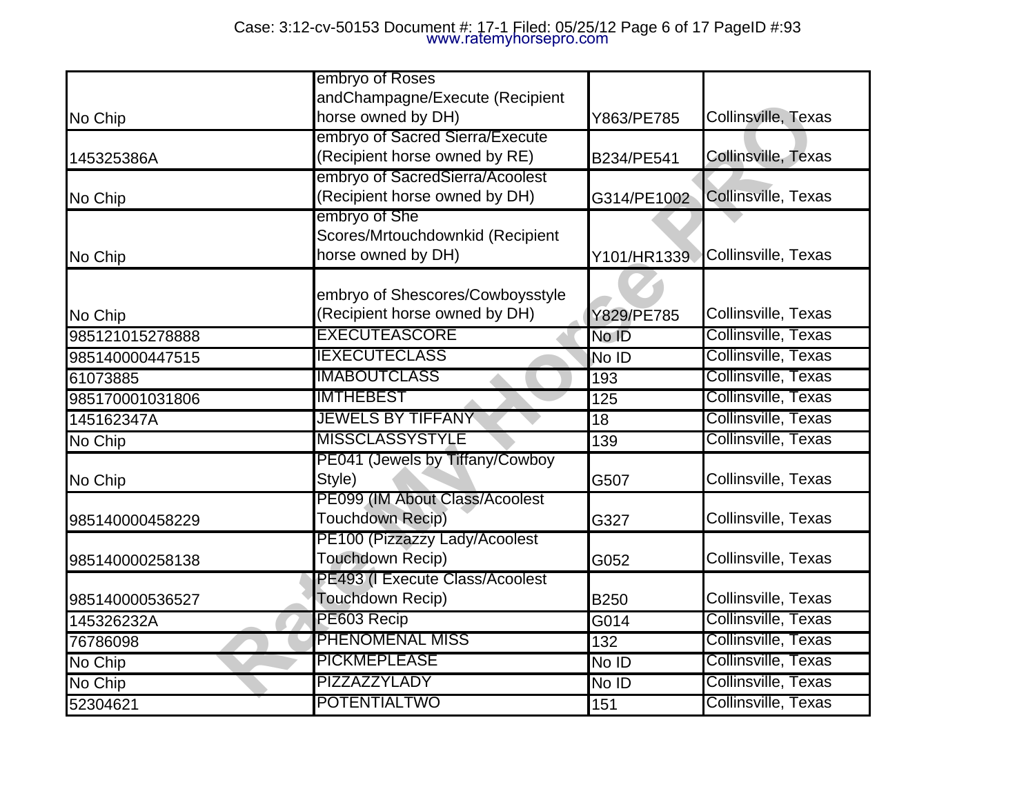|                 | embryo of Roses                                                         |                    |                     |
|-----------------|-------------------------------------------------------------------------|--------------------|---------------------|
| No Chip         | andChampagne/Execute (Recipient<br>horse owned by DH)                   | Y863/PE785         | Collinsville, Texas |
| 145325386A      | embryo of Sacred Sierra/Execute<br>(Recipient horse owned by RE)        | B234/PE541         | Collinsville, Texas |
| No Chip         | embryo of SacredSierra/Acoolest<br>(Recipient horse owned by DH)        | G314/PE1002        | Collinsville, Texas |
| No Chip         | embryo of She<br>Scores/Mrtouchdownkid (Recipient<br>horse owned by DH) | Y101/HR1339        | Collinsville, Texas |
| No Chip         | embryo of Shescores/Cowboysstyle<br>(Recipient horse owned by DH)       | Y829/PE785         | Collinsville, Texas |
| 985121015278888 | <b>EXECUTEASCORE</b>                                                    | No ID              | Collinsville, Texas |
| 985140000447515 | <b>IEXECUTECLASS</b>                                                    | No ID              | Collinsville, Texas |
| 61073885        | <b>IMABOUTCLASS</b>                                                     | 193                | Collinsville, Texas |
| 985170001031806 | <b>IMTHEBEST</b>                                                        | 125                | Collinsville, Texas |
| 145162347A      | <b>JEWELS BY TIFFANY</b>                                                | $\overline{18}$    | Collinsville, Texas |
| No Chip         | <b>MISSCLASSYSTYLE</b>                                                  | 139                | Collinsville, Texas |
| No Chip         | PE041 (Jewels by Tiffany/Cowboy<br>Style)                               | G507               | Collinsville, Texas |
| 985140000458229 | PE099 (IM About Class/Acoolest<br>Touchdown Recip)                      | G327               | Collinsville, Texas |
| 985140000258138 | PE100 (Pizzazzy Lady/Acoolest<br>Touchdown Recip)                       | G052               | Collinsville, Texas |
| 985140000536527 | PE493 (I Execute Class/Acoolest<br>Touchdown Recip)                     | <b>B250</b>        | Collinsville, Texas |
| 145326232A      | PE603 Recip                                                             | $\overline{G}$ 014 | Collinsville, Texas |
| 76786098        | <b>PHENOMENAL MISS</b>                                                  | 132                | Collinsville, Texas |
| No Chip         | <b>PICKMEPLEASE</b>                                                     | No ID              | Collinsville, Texas |
| No Chip         | PIZZAZZYLADY                                                            | No ID              | Collinsville, Texas |
| 52304621        | POTENTIALTWO                                                            | 151                | Collinsville, Texas |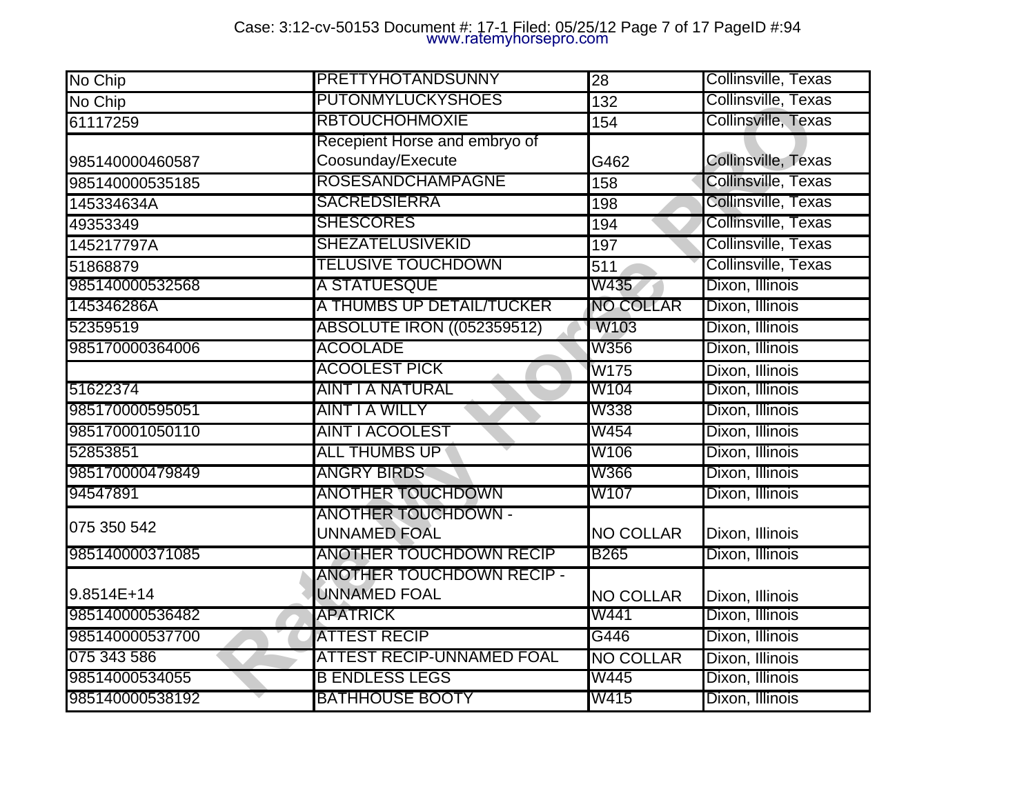| No Chip         | PRETTYHOTANDSUNNY                                       | $\overline{28}$  | Collinsville, Texas |
|-----------------|---------------------------------------------------------|------------------|---------------------|
| No Chip         | <b>PUTONMYLUCKYSHOES</b>                                | 132              | Collinsville, Texas |
| 61117259        | <b>RBTOUCHOHMOXIE</b>                                   | 154              | Collinsville, Texas |
| 985140000460587 | Recepient Horse and embryo of<br>Coosunday/Execute      | G462             | Collinsville, Texas |
| 985140000535185 | <b>ROSESANDCHAMPAGNE</b>                                | 158              | Collinsville, Texas |
| 145334634A      | <b>SACREDSIERRA</b>                                     | 198              | Collinsville, Texas |
| 49353349        | <b>SHESCORES</b>                                        | 194              | Collinsville, Texas |
| 145217797A      | <b>SHEZATELUSIVEKID</b>                                 | 197              | Collinsville, Texas |
| 51868879        | <b>TELUSIVE TOUCHDOWN</b>                               | 511              | Collinsville, Texas |
| 985140000532568 | A STATUESQUE                                            | W435             | Dixon, Illinois     |
| 145346286A      | A THUMBS UP DETAIL/TUCKER                               | <b>NO COLLAR</b> | Dixon, Illinois     |
| 52359519        | <b>ABSOLUTE IRON ((052359512)</b>                       | W103             | Dixon, Illinois     |
| 985170000364006 | <b>ACOOLADE</b>                                         | W356             | Dixon, Illinois     |
|                 | <b>ACOOLEST PICK</b>                                    | W175             | Dixon, Illinois     |
| 51622374        | AINT I A NATURAL                                        | W104             | Dixon, Illinois     |
| 985170000595051 | <b>AINT I A WILLY</b>                                   | W338             | Dixon, Illinois     |
| 985170001050110 | <b>AINT I ACOOLEST</b>                                  | <b>W454</b>      | Dixon, Illinois     |
| 52853851        | <b>ALL THUMBS UP</b>                                    | W106             | Dixon, Illinois     |
| 985170000479849 | <b>ANGRY BIRDS</b>                                      | <b>W366</b>      | Dixon, Illinois     |
| 94547891        | <b>ANOTHER TOUCHDOWN</b>                                | W107             | Dixon, Illinois     |
| 075 350 542     | <b>ANOTHER TOUCHDOWN -</b><br>UNNAMED FOAL              | <b>NO COLLAR</b> | Dixon, Illinois     |
| 985140000371085 | <b>ANOTHER TOUCHDOWN RECIP</b>                          | <b>B265</b>      | Dixon, Illinois     |
| 9.8514E+14      | <b>ANOTHER TOUCHDOWN RECIP -</b><br><b>UNNAMED FOAL</b> | <b>NO COLLAR</b> | Dixon, Illinois     |
| 985140000536482 | <b>APATRICK</b>                                         | W441             | Dixon, Illinois     |
| 985140000537700 | ATTEST RECIP                                            | G446             | Dixon, Illinois     |
| 075 343 586     | <b>ATTEST RECIP-UNNAMED FOAL</b>                        | <b>NO COLLAR</b> | Dixon, Illinois     |
| 98514000534055  | <b>B ENDLESS LEGS</b>                                   | W445             | Dixon, Illinois     |
| 985140000538192 | <b>BATHHOUSE BOOTY</b>                                  | W415             | Dixon, Illinois     |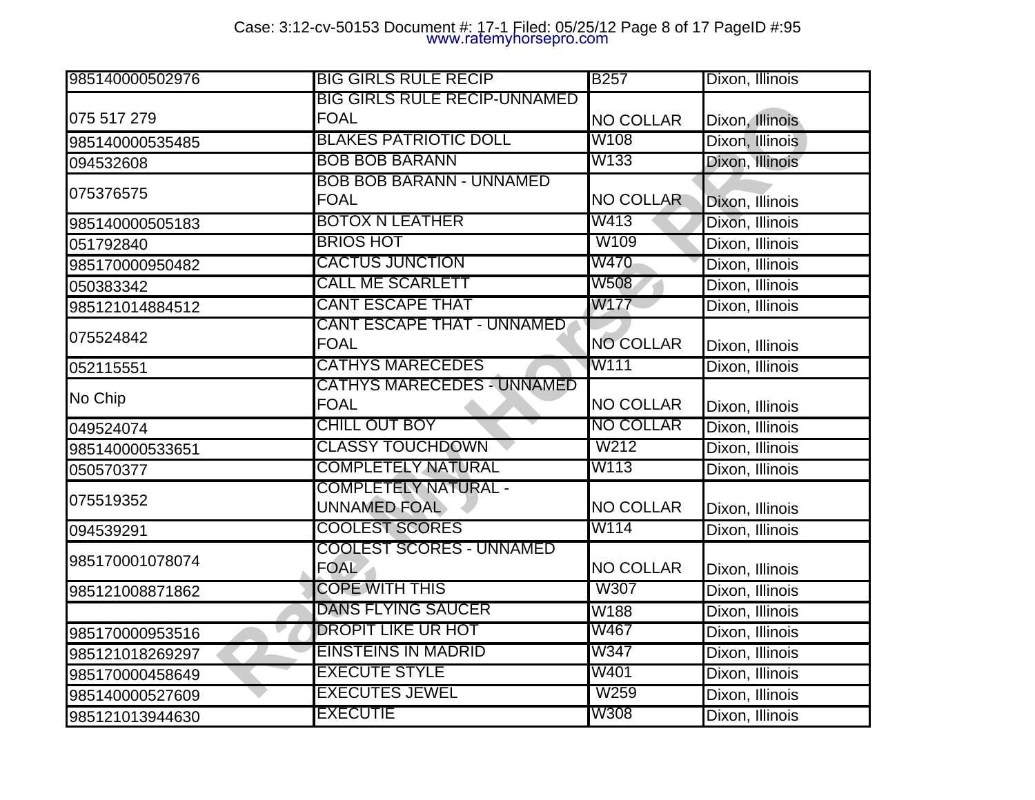| 985140000502976 | <b>BIG GIRLS RULE RECIP</b>                      | <b>B257</b>      | Dixon, Illinois |
|-----------------|--------------------------------------------------|------------------|-----------------|
|                 | <b>BIG GIRLS RULE RECIP-UNNAMED</b>              |                  |                 |
| 075 517 279     | <b>FOAL</b>                                      | <b>NO COLLAR</b> | Dixon, Illinois |
| 985140000535485 | <b>BLAKES PATRIOTIC DOLL</b>                     | W108             | Dixon, Illinois |
| 094532608       | <b>BOB BOB BARANN</b>                            | W133             | Dixon, Illinois |
| 075376575       | <b>BOB BOB BARANN - UNNAMED</b><br><b>FOAL</b>   | <b>NO COLLAR</b> | Dixon, Illinois |
| 985140000505183 | <b>BOTOX N LEATHER</b>                           | W413             | Dixon, Illinois |
| 051792840       | <b>BRIOS HOT</b>                                 | W109             | Dixon, Illinois |
| 985170000950482 | CACTUS JUNCTION                                  | W470             | Dixon, Illinois |
| 050383342       | <b>CALL ME SCARLETT</b>                          | W508             | Dixon, Illinois |
| 985121014884512 | <b>CANT ESCAPE THAT</b>                          | W177             | Dixon, Illinois |
| 075524842       | <b>CANT ESCAPE THAT - UNNAMED</b><br><b>FOAL</b> | <b>NO COLLAR</b> | Dixon, Illinois |
| 052115551       | <b>CATHYS MARECEDES</b>                          | W111             | Dixon, Illinois |
| No Chip         | CATHYS MARECEDES - UNNAMED<br><b>FOAL</b>        | <b>NO COLLAR</b> | Dixon, Illinois |
| 049524074       | <b>CHILL OUT BOY</b>                             | <b>NO COLLAR</b> | Dixon, Illinois |
| 985140000533651 | <b>CLASSY TOUCHDOWN</b>                          | W212             | Dixon, Illinois |
| 050570377       | <b>COMPLETELY NATURAL</b>                        | W113             | Dixon, Illinois |
| 075519352       | <b>COMPLETELY NATURAL -</b><br>UNNAMED FOAL      | <b>NO COLLAR</b> | Dixon, Illinois |
| 094539291       | <b>COOLEST SCORES</b>                            | W114             | Dixon, Illinois |
| 985170001078074 | <b>COOLEST SCORES - UNNAMED</b><br><b>FOAL</b>   | <b>NO COLLAR</b> | Dixon, Illinois |
| 985121008871862 | <b>COPE WITH THIS</b>                            | W307             | Dixon, Illinois |
|                 | <b>DANS FLYING SAUCER</b>                        | W188             | Dixon, Illinois |
| 985170000953516 | <b>DROPIT LIKE UR HOT</b>                        | W467             | Dixon, Illinois |
| 985121018269297 | EINSTEINS IN MADRID                              | W347             | Dixon, Illinois |
| 985170000458649 | <b>EXECUTE STYLE</b>                             | W401             | Dixon, Illinois |
| 985140000527609 | <b>EXECUTES JEWEL</b>                            | W259             | Dixon, Illinois |
| 985121013944630 | <b>EXECUTIE</b>                                  | W308             | Dixon, Illinois |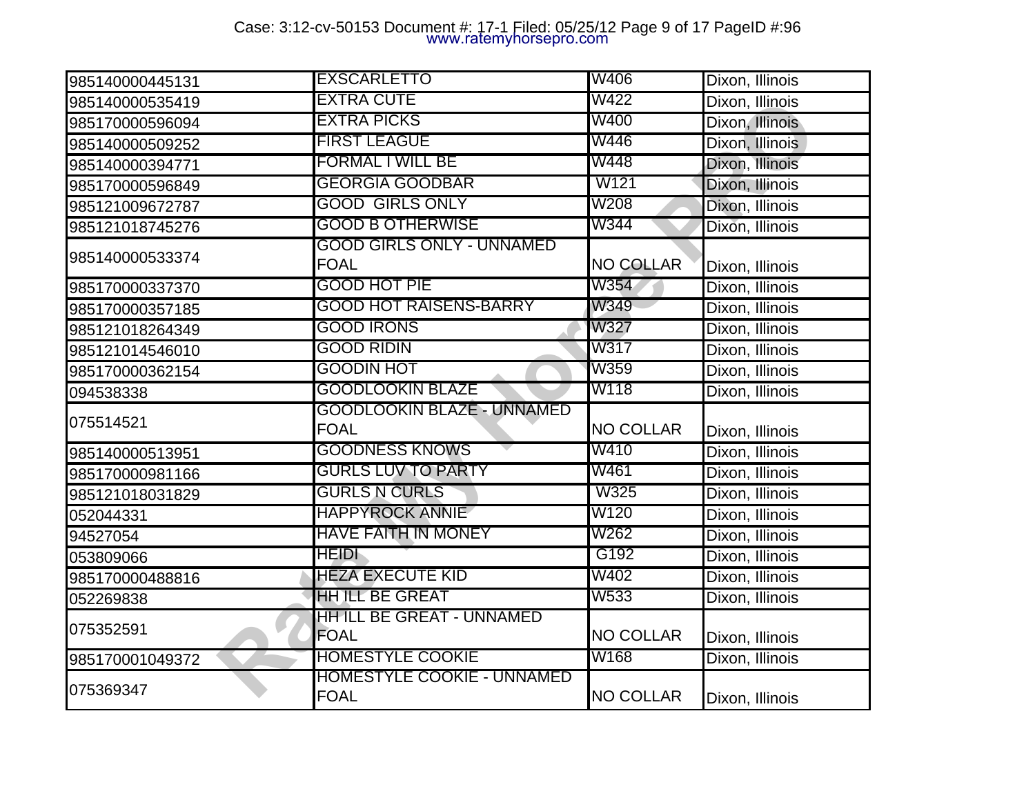## Case: 3:12-cv-50153 Document #: 17-1 Filed: 05/25/12 Page 9 of 17 PageID #:96 www.ratemyhorsepro.com

| 985140000445131 | <b>EXSCARLETTO</b>                                | W406             | Dixon, Illinois |
|-----------------|---------------------------------------------------|------------------|-----------------|
| 985140000535419 | <b>EXTRA CUTE</b>                                 | W422             | Dixon, Illinois |
| 985170000596094 | <b>EXTRA PICKS</b>                                | W400             | Dixon, Illinois |
| 985140000509252 | <b>FIRST LEAGUE</b>                               | W446             | Dixon, Illinois |
| 985140000394771 | <b>FORMAL I WILL BE</b>                           | W448             | Dixon, Illinois |
| 985170000596849 | <b>GEORGIA GOODBAR</b>                            | W121             | Dixon, Illinois |
| 985121009672787 | <b>GOOD GIRLS ONLY</b>                            | W208             | Dixon, Illinois |
| 985121018745276 | <b>GOOD B OTHERWISE</b>                           | W344             | Dixon, Illinois |
| 985140000533374 | GOOD GIRLS ONLY - UNNAMED<br><b>FOAL</b>          | <b>NO COLLAR</b> | Dixon, Illinois |
| 985170000337370 | <b>GOOD HOT PIE</b>                               | W354             | Dixon, Illinois |
| 985170000357185 | <b>GOOD HOT RAISENS-BARRY</b>                     | W349             | Dixon, Illinois |
| 985121018264349 | <b>GOOD IRONS</b>                                 | W327             | Dixon, Illinois |
| 985121014546010 | GOOD RIDIN                                        | W317             | Dixon, Illinois |
| 985170000362154 | <b>GOODIN HOT</b>                                 | W359             | Dixon, Illinois |
| 094538338       | <b>GOODLOOKIN BLAZE</b>                           | W118             | Dixon, Illinois |
| 075514521       | <b>GOODLOOKIN BLAZE - UNNAMED</b><br><b>FOAL</b>  | <b>NO COLLAR</b> | Dixon, Illinois |
| 985140000513951 | <b>GOODNESS KNOWS</b>                             | W410             | Dixon, Illinois |
| 985170000981166 | <b>GURLS LUV TO PARTY</b>                         | W461             | Dixon, Illinois |
| 985121018031829 | <b>GURLS N CURLS</b>                              | W325             | Dixon, Illinois |
| 052044331       | <b>HAPPYROCK ANNIE</b>                            | W120             | Dixon, Illinois |
| 94527054        | HAVE FAITH IN MONEY                               | W262             | Dixon, Illinois |
| 053809066       | <b>HEIDI</b>                                      | G192             | Dixon, Illinois |
| 985170000488816 | <b>HEZA EXECUTE KID</b>                           | W402             | Dixon, Illinois |
| 052269838       | <b>HH ILL BE GREAT</b>                            | W533             | Dixon, Illinois |
| 075352591       | HH ILL BE GREAT - UNNAMED<br><b>FOAL</b>          | <b>NO COLLAR</b> | Dixon, Illinois |
| 985170001049372 | <b>HOMESTYLE COOKIE</b>                           | W168             | Dixon, Illinois |
| 075369347       | <u> HOMESTYLE COOKIE - UNNAMED</u><br><b>FOAL</b> | <b>NO COLLAR</b> | Dixon, Illinois |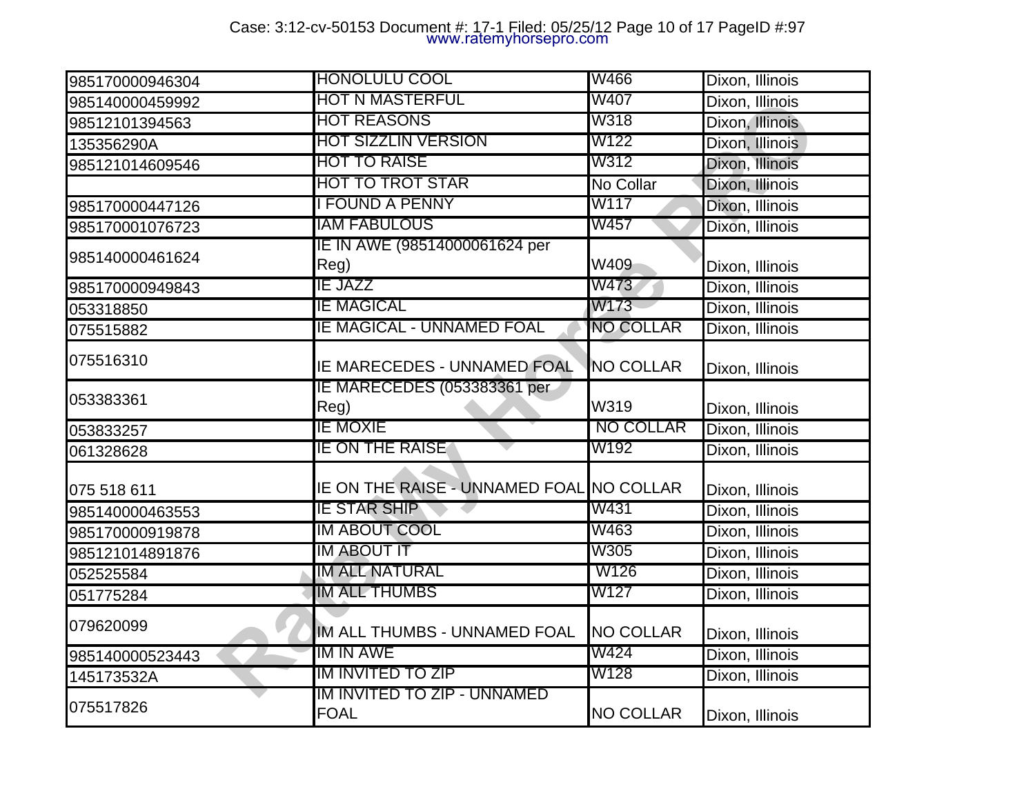# Case: 3:12-cv-50153 Document #: 17-1 Filed: 05/25/12 Page 10 of 17 PageID #:97 www.ratemyhorsepro.com

| 985170000946304 | <b>HONOLULU COOL</b>                       | W466             | Dixon, Illinois |
|-----------------|--------------------------------------------|------------------|-----------------|
| 985140000459992 | HOT N MASTERFUL                            | W407             | Dixon, Illinois |
| 98512101394563  | <b>HOT REASONS</b>                         | W318             | Dixon, Illinois |
| 135356290A      | <b>HOT SIZZLIN VERSION</b>                 | W122             | Dixon, Illinois |
| 985121014609546 | <b>HOT TO RAISE</b>                        | W312             | Dixon, Illinois |
|                 | HOT TO TROT STAR                           | No Collar        | Dixon, Illinois |
| 985170000447126 | <b>FOUND A PENNY</b>                       | W117             | Dixon, Illinois |
| 985170001076723 | <b>IAM FABULOUS</b>                        | W457             | Dixon, Illinois |
| 985140000461624 | IE IN AWE (98514000061624 per<br>Reg)      | W409             | Dixon, Illinois |
| 985170000949843 | <b>IE JAZZ</b>                             | W473             | Dixon, Illinois |
| 053318850       | IE MAGICAL                                 | W173             | Dixon, Illinois |
| 075515882       | <b>IE MAGICAL - UNNAMED FOAL</b>           | <b>NO COLLAR</b> | Dixon, Illinois |
| 075516310       | <b>IE MARECEDES - UNNAMED FOAL</b>         | <b>NO COLLAR</b> | Dixon, Illinois |
| 053383361       | E MARECEDES (053383361 per<br>Reg)         | W319             | Dixon, Illinois |
| 053833257       | ie moxie                                   | <b>NO COLLAR</b> | Dixon, Illinois |
| 061328628       | <b>IE ON THE RAISE</b>                     | W192             | Dixon, Illinois |
| 075 518 611     | IE ON THE RAISE - UNNAMED FOAL INO COLLAR  |                  | Dixon, Illinois |
| 985140000463553 | IE STAR SHIP                               | W431             | Dixon, Illinois |
| 985170000919878 | IM ABOUT COOL                              | W463             | Dixon, Illinois |
| 985121014891876 | IM ABOUT IT                                | W305             | Dixon, Illinois |
| 052525584       | IM ALL NATURAL                             | W126             | Dixon, Illinois |
| 051775284       | <b>IM ALL THUMBS</b>                       | W127             | Dixon, Illinois |
| 079620099       | IM ALL THUMBS - UNNAMED FOAL               | <b>NO COLLAR</b> | Dixon, Illinois |
| 985140000523443 | IM IN AWE                                  | W424             | Dixon, Illinois |
| 145173532A      | <b>IM INVITED TO ZIP</b>                   | W128             | Dixon, Illinois |
| 075517826       | IM INVITED TO ZIP - UNNAMED<br><b>FOAL</b> | <b>NO COLLAR</b> | Dixon, Illinois |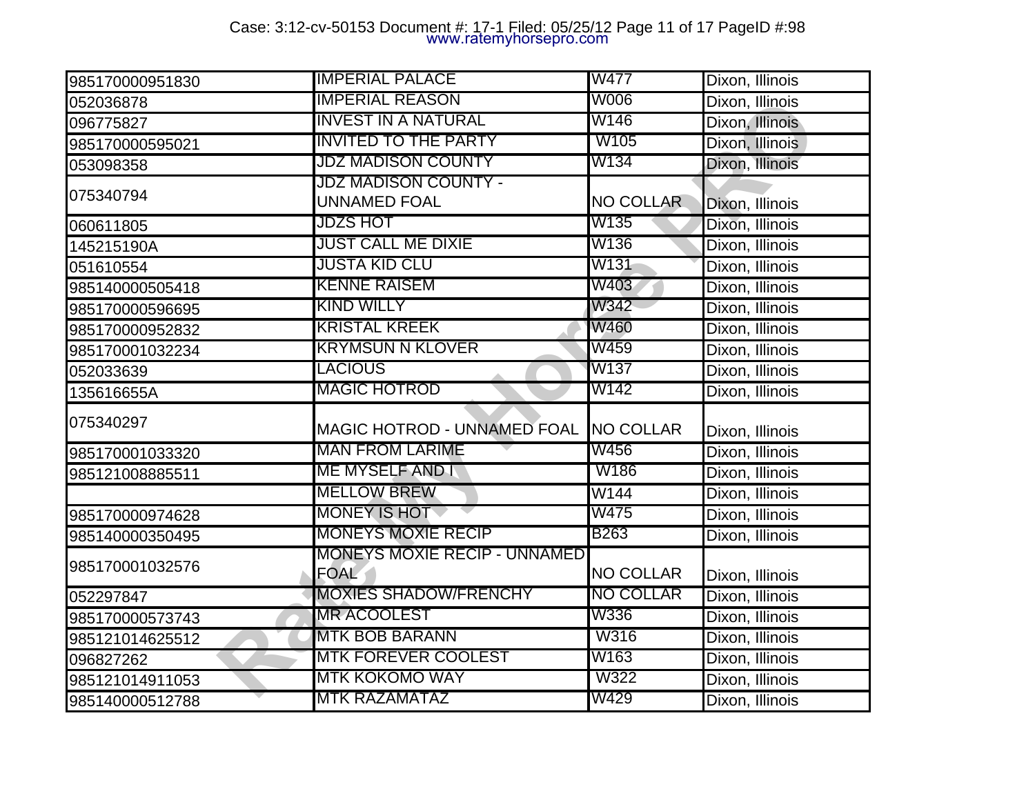# Case: 3:12-cv-50153 Document #: 17-1 Filed: 05/25/12 Page 11 of 17 PageID #:98 www.ratemyhorsepro.com

| 985170000951830 | <b>IMPERIAL PALACE</b>                             | W477             | Dixon, Illinois |
|-----------------|----------------------------------------------------|------------------|-----------------|
| 052036878       | <b>IMPERIAL REASON</b>                             | W006             | Dixon, Illinois |
| 096775827       | <b>INVEST IN A NATURAL</b>                         | W146             | Dixon, Illinois |
| 985170000595021 | <b>INVITED TO THE PARTY</b>                        | W105             | Dixon, Illinois |
| 053098358       | <b>JDZ MADISON COUNTY</b>                          | W134             | Dixon, Illinois |
| 075340794       | JDZ MADISON COUNTY -<br>UNNAMED FOAL               | <b>NO COLLAR</b> |                 |
|                 | <b>JDZS HOT</b>                                    | W135             | Dixon, Illinois |
| 060611805       | JUST CALL ME DIXIE                                 | W136             | Dixon, Illinois |
| 145215190A      |                                                    |                  | Dixon, Illinois |
| 051610554       | <b>JUSTA KID CLU</b>                               | W131             | Dixon, Illinois |
| 985140000505418 | <b>KENNE RAISEM</b>                                | W403             | Dixon, Illinois |
| 985170000596695 | <b>KIND WILLY</b>                                  | W342             | Dixon, Illinois |
| 985170000952832 | <b>KRISTAL KREEK</b>                               | W460             | Dixon, Illinois |
| 985170001032234 | <u>KRYMSUN N KLOVER</u>                            | W459             | Dixon, Illinois |
| 052033639       | LACIOUS                                            | W137             | Dixon, Illinois |
| 135616655A      | <b>MAGIC HOTROD</b>                                | W142             | Dixon, Illinois |
| 075340297       | MAGIC HOTROD - UNNAMED FOAL NO COLLAR              |                  | Dixon, Illinois |
| 985170001033320 | <b>MAN FROM LARIME</b>                             | W456             | Dixon, Illinois |
| 985121008885511 | <b>ME MYSELF AND I</b>                             | W186             | Dixon, Illinois |
|                 | <b>MELLOW BREW</b>                                 | W144             | Dixon, Illinois |
| 985170000974628 | MONEY IS HOT                                       | W475             | Dixon, Illinois |
| 985140000350495 | <b>MONEYS MOXIE RECIP</b>                          | <b>B263</b>      | Dixon, Illinois |
| 985170001032576 | <b>MONEYS MOXIE RECIP - UNNAMED</b><br><b>FOAL</b> | <b>NO COLLAR</b> | Dixon, Illinois |
| 052297847       | <b>MOXIES SHADOW/FRENCHY</b>                       | NO COLLAR        | Dixon, Illinois |
| 985170000573743 | <b>MR ACOOLEST</b>                                 | W336             | Dixon, Illinois |
| 985121014625512 | MTK BOB BARANN                                     | <b>W316</b>      | Dixon, Illinois |
| 096827262       | <b>MTK FOREVER COOLEST</b>                         | W163             | Dixon, Illinois |
| 985121014911053 | <b>MTK KOKOMO WAY</b>                              | W322             | Dixon, Illinois |
| 985140000512788 | MTK RAZAMATAZ                                      | W429             | Dixon, Illinois |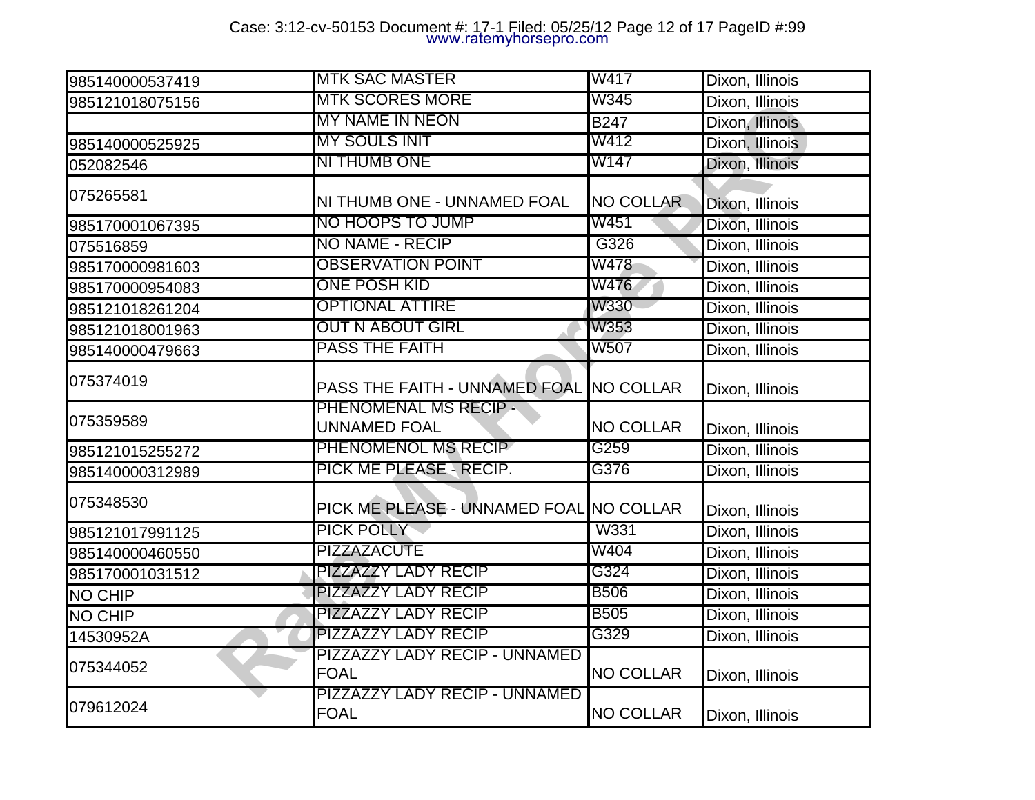# Case: 3:12-cv-50153 Document #: 17-1 Filed: 05/25/12 Page 12 of 17 PageID #:99 www.ratemyhorsepro.com

| 985140000537419 | <b>MTK SAC MASTER</b>                              | W417             | Dixon, Illinois |
|-----------------|----------------------------------------------------|------------------|-----------------|
| 985121018075156 | <b>MTK SCORES MORE</b>                             | W345             | Dixon, Illinois |
|                 | <b>MY NAME IN NEON</b>                             | <b>B247</b>      | Dixon, Illinois |
| 985140000525925 | <b>MY SOULS INIT</b>                               | W412             | Dixon, Illinois |
| 052082546       | NI THUMB ONE                                       | W147             | Dixon, Illinois |
| 075265581       | NI THUMB ONE - UNNAMED FOAL                        | <b>NO COLLAR</b> | Dixon, Illinois |
| 985170001067395 | NO HOOPS TO JUMP                                   | W451             | Dixon, Illinois |
| 075516859       | NO NAME - RECIP                                    | G326             | Dixon, Illinois |
| 985170000981603 | <b>OBSERVATION POINT</b>                           | W478             | Dixon, Illinois |
| 985170000954083 | <b>ONE POSH KID</b>                                | W476             | Dixon, Illinois |
| 985121018261204 | <b>OPTIONAL ATTIRE</b>                             | W330             | Dixon, Illinois |
| 985121018001963 | <b>OUT N ABOUT GIRL</b>                            | W353             | Dixon, Illinois |
| 985140000479663 | <b>PASS THE FAITH</b>                              | <b>W507</b>      | Dixon, Illinois |
| 075374019       | PASS THE FAITH - UNNAMED FOAL NO COLLAR            |                  | Dixon, Illinois |
| 075359589       | <b>PHENOMENAL MS RECIP-</b><br><b>UNNAMED FOAL</b> | <b>NO COLLAR</b> | Dixon, Illinois |
| 985121015255272 | PHENOMENOL MS RECIP                                | G259             | Dixon, Illinois |
| 985140000312989 | PICK ME PLEASE - RECIP.                            | G376             | Dixon, Illinois |
| 075348530       | PICK ME PLEASE - UNNAMED FOAL NO COLLAR            |                  | Dixon, Illinois |
| 985121017991125 | <b>PICK POLLY</b>                                  | <b>W331</b>      | Dixon, Illinois |
| 985140000460550 | <b>PIZZAZACUTE</b>                                 | W404             | Dixon, Illinois |
| 985170001031512 | PIZZAZZY LADY RECIP                                | G324             | Dixon, Illinois |
| <b>NO CHIP</b>  | <b>PIZZAZZY LADY RECIP</b>                         | <b>B506</b>      | Dixon, Illinois |
| <b>NO CHIP</b>  | PIZZAZZY LADY RECIP                                | <b>B505</b>      | Dixon, Illinois |
| 14530952A       | <b>PIZZAZZY LADY RECIP</b>                         | G329             | Dixon, Illinois |
| 075344052       | PIZZAZZY LADY RECIP - UNNAMED<br><b>FOAL</b>       | <b>NO COLLAR</b> | Dixon, Illinois |
| 079612024       | PIZZAZZY LADY RECIP - UNNAMED<br><b>FOAL</b>       | <b>NO COLLAR</b> | Dixon, Illinois |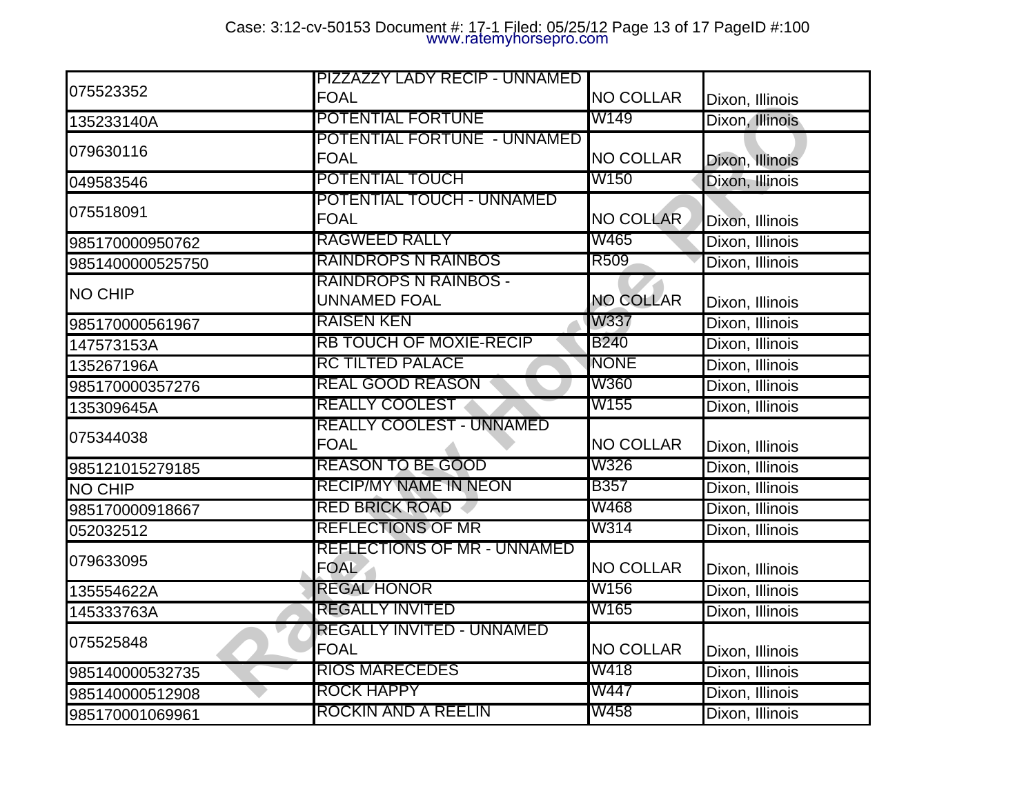|                  | PIZZAZZY LADY RECIP - UNNAMED                     |                  |                 |
|------------------|---------------------------------------------------|------------------|-----------------|
| 075523352        | <b>FOAL</b>                                       | <b>NO COLLAR</b> | Dixon, Illinois |
| 135233140A       | POTENTIAL FORTUNE                                 | W149             | Dixon, Illinois |
| 079630116        | POTENTIAL FORTUNE - UNNAMED<br><b>FOAL</b>        | <b>NO COLLAR</b> | Dixon, Illinois |
| 049583546        | POTENTIAL TOUCH                                   | W150             | Dixon, Illinois |
| 075518091        | <b>POTENTIAL TOUCH - UNNAMED</b><br><b>FOAL</b>   | <b>NO COLLAR</b> | Dixon, Illinois |
| 985170000950762  | <b>RAGWEED RALLY</b>                              | W465             | Dixon, Illinois |
| 9851400000525750 | RAINDROPS N RAINBOS                               | R <sub>509</sub> | Dixon, Illinois |
| <b>NO CHIP</b>   | RAINDROPS N RAINBOS -<br><b>UNNAMED FOAL</b>      | <b>NO COLLAR</b> | Dixon, Illinois |
| 985170000561967  | <b>RAISEN KEN</b>                                 | <b>W337</b>      | Dixon, Illinois |
| 147573153A       | <b>RB TOUCH OF MOXIE-RECIP</b>                    | <b>B240</b>      | Dixon, Illinois |
| 135267196A       | <b>RC TILTED PALACE</b>                           | <b>NONE</b>      | Dixon, Illinois |
| 985170000357276  | <b>REAL GOOD REASON</b>                           | <b>W360</b>      | Dixon, Illinois |
| 135309645A       | <b>REALLY COOLEST</b>                             | W155             | Dixon, Illinois |
| 075344038        | <b>REALLY COOLEST - UNNAMED</b><br><b>FOAL</b>    | <b>NO COLLAR</b> | Dixon, Illinois |
| 985121015279185  | <b>REASON TO BE GOOD</b>                          | W326             | Dixon, Illinois |
| <b>NO CHIP</b>   | <b>RECIP/MY NAME IN NEON</b>                      | <b>B357</b>      | Dixon, Illinois |
| 985170000918667  | <b>RED BRICK ROAD</b>                             | W468             | Dixon, Illinois |
| 052032512        | <b>REFLECTIONS OF MR</b>                          | W314             | Dixon, Illinois |
| 079633095        | <b>REFLECTIONS OF MR - UNNAMED</b><br><b>FOAL</b> | <b>NO COLLAR</b> | Dixon, Illinois |
| 135554622A       | <b>REGAL HONOR</b>                                | W156             | Dixon, Illinois |
| 145333763A       | <b>REGALLY INVITED</b>                            | W165             | Dixon, Illinois |
| 075525848        | REGALLY INVITED - UNNAMED<br><b>FOAL</b>          | <b>NO COLLAR</b> | Dixon, Illinois |
| 985140000532735  | <b>RIOS MARECEDES</b>                             | W418             | Dixon, Illinois |
| 985140000512908  | <b>ROCK HAPPY</b>                                 | W447             | Dixon, Illinois |
| 985170001069961  | ROCKIN AND A REELIN                               | W458             | Dixon, Illinois |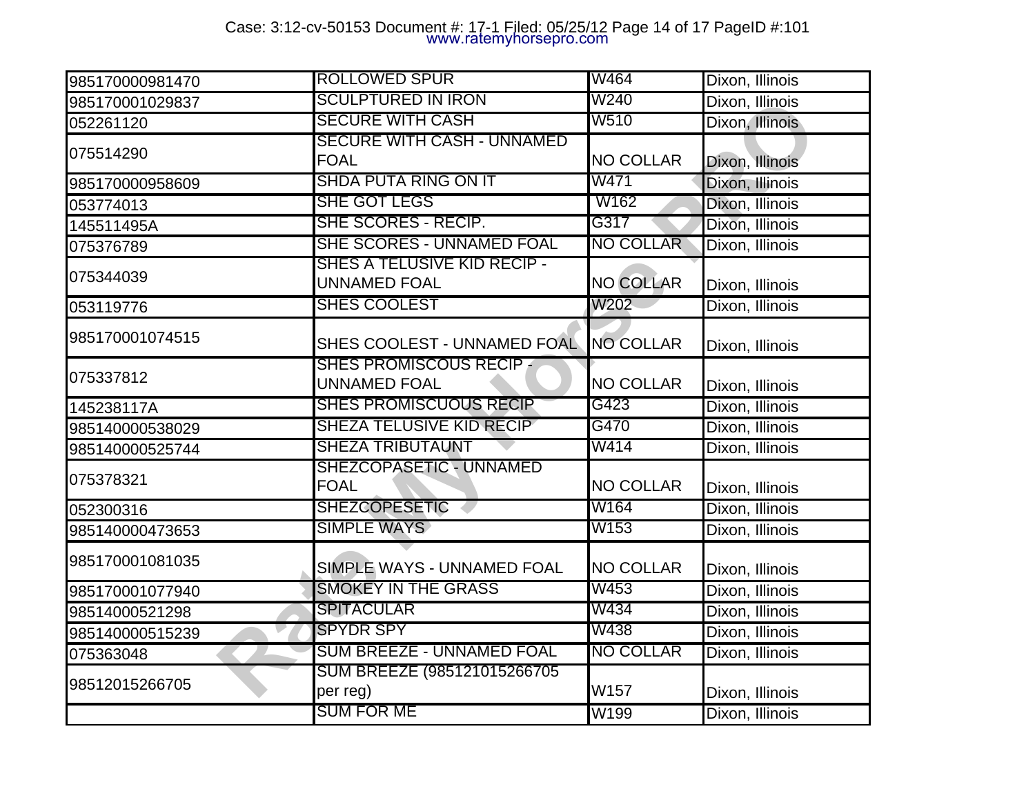# Case: 3:12-cv-50153 Document #: 17-1 Filed: 05/25/12 Page 14 of 17 PageID #:101 www.ratemyhorsepro.com

| 985170000981470 | <b>ROLLOWED SPUR</b>                                          | W464             | Dixon, Illinois                    |
|-----------------|---------------------------------------------------------------|------------------|------------------------------------|
| 985170001029837 | <b>SCULPTURED IN IRON</b>                                     | W240             | Dixon, Illinois                    |
| 052261120       | <b>SECURE WITH CASH</b>                                       | W510             | Dixon, Illinois                    |
| 075514290       | SECURE WITH CASH - UNNAMED<br><b>FOAL</b>                     | <b>NO COLLAR</b> | Dixon, Illinois                    |
| 985170000958609 | <b>SHDA PUTA RING ON IT</b>                                   | W471             | Dixon, Illinois                    |
| 053774013       | <b>SHE GOT LEGS</b>                                           | W162             | Dixon, Illinois                    |
| 145511495A      | SHE SCORES - RECIP.                                           | G317             | Dixon, Illinois                    |
| 075376789       | <b>SHE SCORES - UNNAMED FOAL</b>                              | <b>NO COLLAR</b> | Dixon, Illinois                    |
| 075344039       | SHES A TELUSIVE KID RECIP -<br>UNNAMED FOAL                   | <b>NO COLLAR</b> | Dixon, Illinois                    |
| 053119776       | <b>SHES COOLEST</b>                                           | W202             | Dixon, Illinois                    |
| 985170001074515 | SHES COOLEST - UNNAMED FOAL                                   | <b>NO COLLAR</b> | Dixon, Illinois                    |
| 075337812       | <b>SHES PROMISCOUS RECIP -</b><br>UNNAMED FOAL                | <b>NO COLLAR</b> | Dixon, Illinois                    |
|                 |                                                               |                  |                                    |
| 145238117A      | SHES PROMISCUOUS RECIP                                        | G423             | Dixon, Illinois                    |
| 985140000538029 | <b>SHEZA TELUSIVE KID RECIP</b>                               | G470             | Dixon, Illinois                    |
| 985140000525744 | <b>SHEZA TRIBUTAUNT</b>                                       | W414             | Dixon, Illinois                    |
| 075378321       | <b>SHEZCOPASETIC - UNNAMED</b><br><b>FOAL</b>                 | <b>NO COLLAR</b> | Dixon, Illinois                    |
| 052300316       | <b>SHEZCOPESETIC</b>                                          | W164             | Dixon, Illinois                    |
| 985140000473653 | <b>SIMPLE WAYS</b>                                            | W153             | Dixon, Illinois                    |
| 985170001081035 | SIMPLE WAYS - UNNAMED FOAL                                    | <b>NO COLLAR</b> | Dixon, Illinois                    |
| 985170001077940 | <b>SMOKEY IN THE GRASS</b>                                    | W453             | Dixon, Illinois                    |
| 98514000521298  | <b>SPITACULAR</b>                                             | W434             | Dixon, Illinois                    |
| 985140000515239 | <b>SPYDR SPY</b>                                              | W438             | Dixon, Illinois                    |
| 075363048       | <b>SUM BREEZE - UNNAMED FOAL</b>                              | <b>NO COLLAR</b> | Dixon, Illinois                    |
| 98512015266705  | SUM BREEZE (985121015266705)<br>per reg)<br><b>SUM FOR ME</b> | W157<br>W199     | Dixon, Illinois<br>Dixon, Illinois |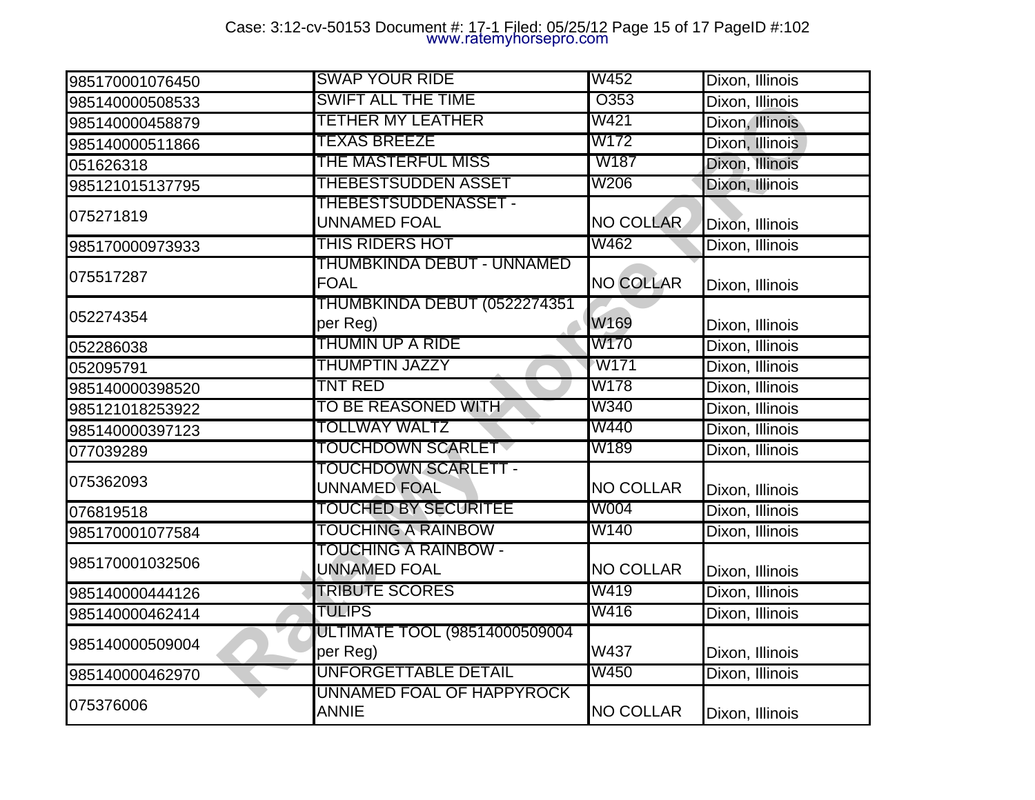# Case: 3:12-cv-50153 Document #: 17-1 Filed: 05/25/12 Page 15 of 17 PageID #:102 www.ratemyhorsepro.com

| 985170001076450 | <b>SWAP YOUR RIDE</b>                              | <b>W452</b>      | Dixon, Illinois |
|-----------------|----------------------------------------------------|------------------|-----------------|
| 985140000508533 | <b>SWIFT ALL THE TIME</b>                          | O353             | Dixon, Illinois |
| 985140000458879 | TETHER MY LEATHER                                  | W421             | Dixon, Illinois |
| 985140000511866 | <b>TEXAS BREEZE</b>                                | W172             | Dixon, Illinois |
| 051626318       | THE MASTERFUL MISS                                 | W <sub>187</sub> | Dixon, Illinois |
| 985121015137795 | THEBESTSUDDEN ASSET                                | W206             | Dixon, Illinois |
| 075271819       | <b>THEBESTSUDDENASSET -</b><br>UNNAMED FOAL        | <b>NO COLLAR</b> | Dixon, Illinois |
| 985170000973933 | THIS RIDERS HOT                                    | W462             | Dixon, Illinois |
| 075517287       | THUMBKINDA DEBUT - UNNAMED<br><b>FOAL</b>          | <b>NO COLLAR</b> | Dixon, Illinois |
| 052274354       | THUMBKINDA DEBUT (0522274351<br>per Reg)           | W169             | Dixon, Illinois |
| 052286038       | THUMIN UP A RIDE                                   | W170             | Dixon, Illinois |
| 052095791       | THUMPTIN JAZZY                                     | ∕W171            | Dixon, Illinois |
| 985140000398520 | TNT RED                                            | W178             | Dixon, Illinois |
| 985121018253922 | TO BE REASONED WITH                                | W340             | Dixon, Illinois |
| 985140000397123 | <b>TOLLWAY WALTZ</b>                               | W440             | Dixon, Illinois |
| 077039289       | <b>FOUCHDOWN SCARLET</b>                           | W189             | Dixon, Illinois |
| 075362093       | <b>TOUCHDOWN SCARLETT -</b><br><b>UNNAMED FOAL</b> | <b>NO COLLAR</b> | Dixon, Illinois |
| 076819518       | TOUCHED BY SECURITEE                               | W004             | Dixon, Illinois |
| 985170001077584 | TOUCHING A RAINBOW                                 | W140             | Dixon, Illinois |
| 985170001032506 | TOUCHING A RAINBOW -<br>UNNAMED FOAL               | <b>NO COLLAR</b> | Dixon, Illinois |
| 985140000444126 | <b>TRIBUTE SCORES</b>                              | W419             | Dixon, Illinois |
| 985140000462414 | <b>TULIPS</b>                                      | W416             | Dixon, Illinois |
| 985140000509004 | ULTIMATE TOOL (98514000509004<br>per Reg)          | W437             | Dixon, Illinois |
| 985140000462970 | <b>UNFORGETTABLE DETAIL</b>                        | W450             | Dixon, Illinois |
| 075376006       | UNNAMED FOAL OF HAPPYROCK<br><b>ANNIE</b>          | <b>NO COLLAR</b> | Dixon, Illinois |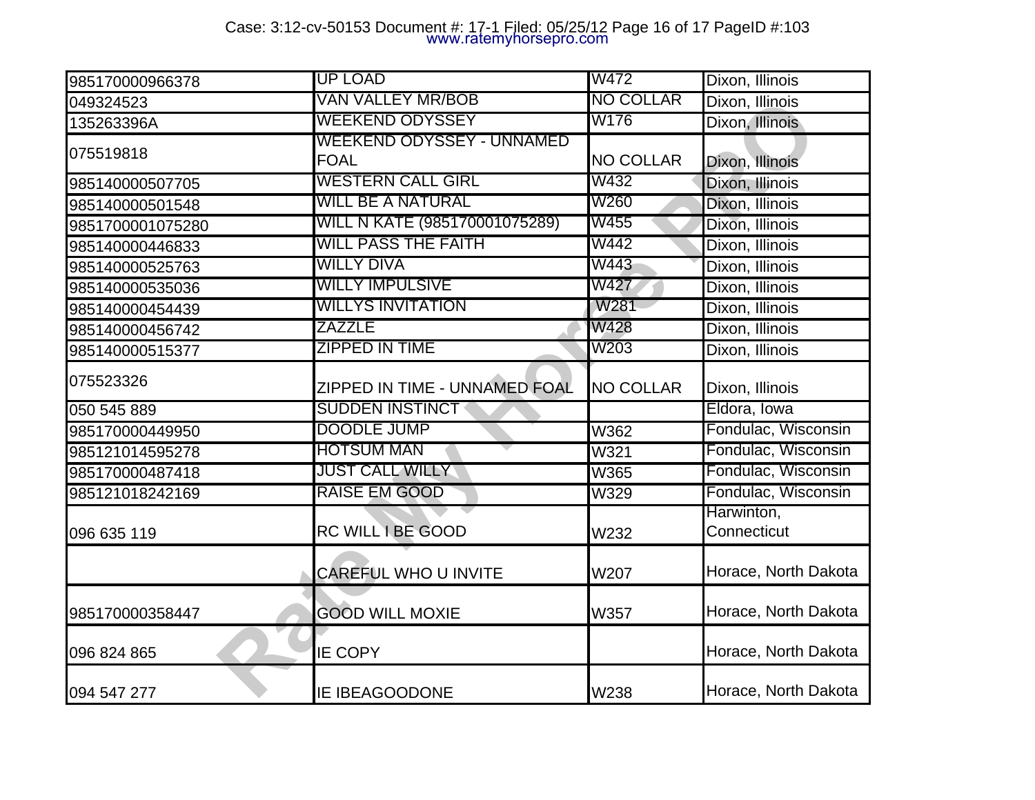# Case: 3:12-cv-50153 Document #: 17-1 Filed: 05/25/12 Page 16 of 17 PageID #:103 www.ratemyhorsepro.com

| 985170000966378  | <b>UP LOAD</b>                           | W472             | Dixon, Illinois           |
|------------------|------------------------------------------|------------------|---------------------------|
| 049324523        | VAN VALLEY MR/BOB                        | <b>NO COLLAR</b> | Dixon, Illinois           |
| 135263396A       | <b>WEEKEND ODYSSEY</b>                   | W176             | Dixon, Illinois           |
| 075519818        | WEEKEND ODYSSEY - UNNAMED<br><b>FOAL</b> | <b>NO COLLAR</b> | Dixon, Illinois           |
| 985140000507705  | <b>WESTERN CALL GIRL</b>                 | W432             | Dixon, Illinois           |
| 985140000501548  | <b>WILL BE A NATURAL</b>                 | W260             | Dixon, Illinois           |
| 9851700001075280 | WILL N KATE (985170001075289)            | W455             | Dixon, Illinois           |
| 985140000446833  | <b>WILL PASS THE FAITH</b>               | W442             | Dixon, Illinois           |
| 985140000525763  | <b>WILLY DIVA</b>                        | W443             | Dixon, Illinois           |
| 985140000535036  | <b>WILLY IMPULSIVE</b>                   | W427             | Dixon, Illinois           |
| 985140000454439  | <b>WILLYS INVITATION</b>                 | W281             | Dixon, Illinois           |
| 985140000456742  | <b>ZAZZLE</b>                            | W428             | Dixon, Illinois           |
| 985140000515377  | <b>ZIPPED IN TIME</b>                    | W203             | Dixon, Illinois           |
| 075523326        | ZIPPED IN TIME - UNNAMED FOAL            | <b>NO COLLAR</b> | Dixon, Illinois           |
| 050 545 889      | <b>SUDDEN INSTINCT</b>                   |                  | Eldora, Iowa              |
| 985170000449950  | <b>DOODLE JUMP</b>                       | W362             | Fondulac, Wisconsin       |
| 985121014595278  | <b>HOTSUM MAN</b>                        | W321             | Fondulac, Wisconsin       |
| 985170000487418  | <b>JUST CALL WILLY</b>                   | <b>W365</b>      | Fondulac, Wisconsin       |
| 985121018242169  | <b>RAISE EM GOOD</b>                     | W329             | Fondulac, Wisconsin       |
| 096 635 119      | <b>RC WILL I BE GOOD</b>                 | W232             | Harwinton,<br>Connecticut |
|                  | CAREFUL WHO U INVITE                     | W207             | Horace, North Dakota      |
| 985170000358447  | <b>GOOD WILL MOXIE</b>                   | <b>W357</b>      | Horace, North Dakota      |
| 096 824 865      | <b>IE COPY</b>                           |                  | Horace, North Dakota      |
| 094 547 277      | <b>IE IBEAGOODONE</b>                    | W238             | Horace, North Dakota      |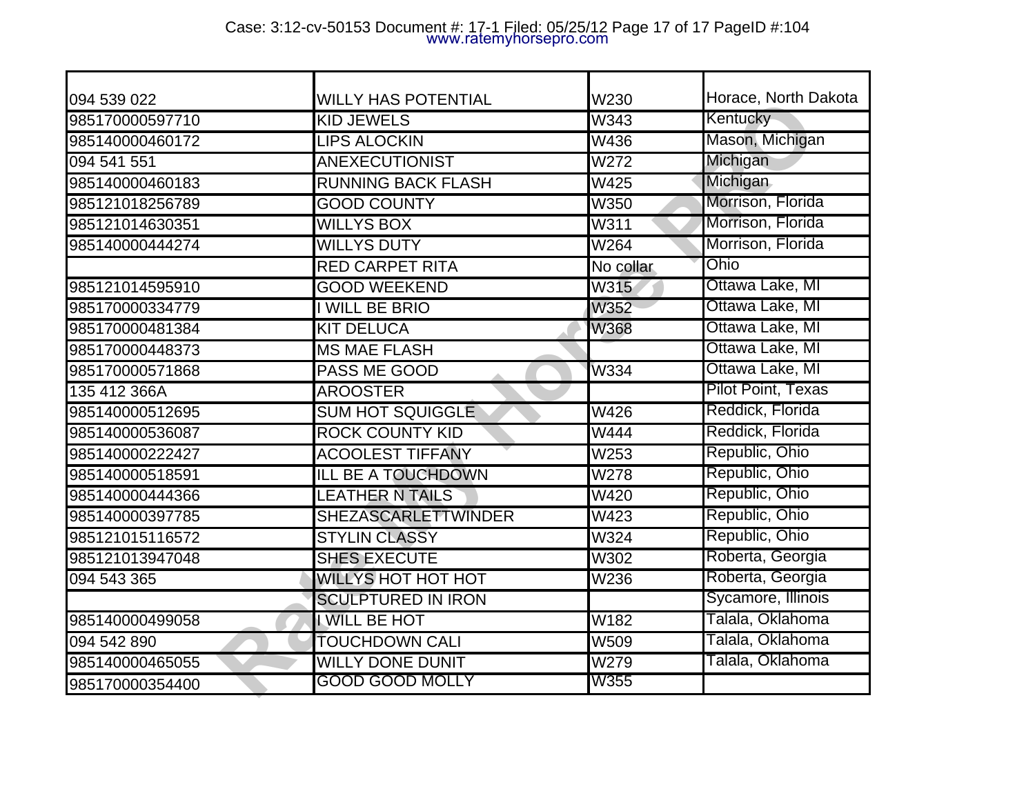## Case: 3:12-cv-50153 Document #: 17-1 Filed: 05/25/12 Page 17 of 17 PageID #:104 www.ratemyhorsepro.com

| 094 539 022     | <b>WILLY HAS POTENTIAL</b> | W230        | Horace, North Dakota |
|-----------------|----------------------------|-------------|----------------------|
| 985170000597710 | <b>KID JEWELS</b>          | W343        | Kentucky             |
| 985140000460172 | <b>LIPS ALOCKIN</b>        | W436        | Mason, Michigan      |
| 094 541 551     | <b>ANEXECUTIONIST</b>      | W272        | Michigan             |
| 985140000460183 | <b>RUNNING BACK FLASH</b>  | W425        | <b>Michigan</b>      |
| 985121018256789 | <b>GOOD COUNTY</b>         | <b>W350</b> | Morrison, Florida    |
| 985121014630351 | <b>WILLYS BOX</b>          | W311        | Morrison, Florida    |
| 985140000444274 | <b>WILLYS DUTY</b>         | W264        | Morrison, Florida    |
|                 | <b>RED CARPET RITA</b>     | No collar   | Ohio                 |
| 985121014595910 | <b>GOOD WEEKEND</b>        | W315        | Ottawa Lake, MI      |
| 985170000334779 | <b>WILL BE BRIO</b>        | <b>W352</b> | Ottawa Lake, MI      |
| 985170000481384 | <b>KIT DELUCA</b>          | <b>W368</b> | Ottawa Lake, MI      |
| 985170000448373 | <b>MS MAE FLASH</b>        |             | Ottawa Lake, MI      |
| 985170000571868 | <b>PASS ME GOOD</b>        | W334        | Ottawa Lake, MI      |
| 135 412 366A    | <b>AROOSTER</b>            |             | Pilot Point, Texas   |
| 985140000512695 | <b>SUM HOT SQUIGGLE</b>    | W426        | Reddick, Florida     |
| 985140000536087 | <b>ROCK COUNTY KID</b>     | <b>W444</b> | Reddick, Florida     |
| 985140000222427 | <b>ACOOLEST TIFFANY</b>    | W253        | Republic, Ohio       |
| 985140000518591 | <b>ILL BE A TOUCHDOWN</b>  | W278        | Republic, Ohio       |
| 985140000444366 | <b>LEATHER N TAILS</b>     | W420        | Republic, Ohio       |
| 985140000397785 | <b>SHEZASCARLETTWINDER</b> | W423        | Republic, Ohio       |
| 985121015116572 | <b>STYLIN CLASSY</b>       | W324        | Republic, Ohio       |
| 985121013947048 | <b>SHES EXECUTE</b>        | W302        | Roberta, Georgia     |
| 094 543 365     | <b>WILLYS HOT HOT HOT</b>  | <b>W236</b> | Roberta, Georgia     |
|                 | <b>SCULPTURED IN IRON</b>  |             | Sycamore, Illinois   |
| 985140000499058 | I WILL BE HOT              | W182        | Talala, Oklahoma     |
| 094 542 890     | <b>TOUCHDOWN CALI</b>      | W509        | Talala, Oklahoma     |
| 985140000465055 | <b>WILLY DONE DUNIT</b>    | W279        | Talala, Oklahoma     |
| 985170000354400 | <b>GOOD GOOD MOLLY</b>     | W355        |                      |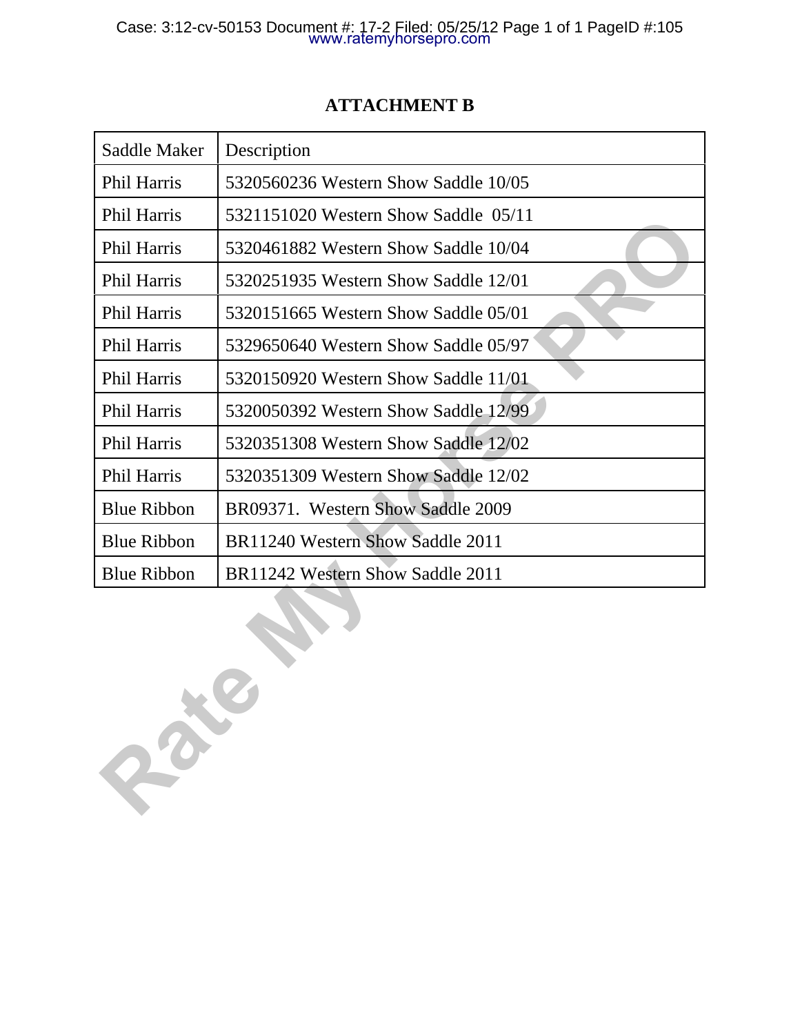### Case: 3:12-cv-50153 Document #: 17-2 Filed: 05/25/12 Page 1 of 1 PageID #:105 www.ratemyhorsepro.com

| Saddle Maker       | Description                          |
|--------------------|--------------------------------------|
| Phil Harris        | 5320560236 Western Show Saddle 10/05 |
| <b>Phil Harris</b> | 5321151020 Western Show Saddle 05/11 |
| <b>Phil Harris</b> | 5320461882 Western Show Saddle 10/04 |
| <b>Phil Harris</b> | 5320251935 Western Show Saddle 12/01 |
| <b>Phil Harris</b> | 5320151665 Western Show Saddle 05/01 |
| <b>Phil Harris</b> | 5329650640 Western Show Saddle 05/97 |
| <b>Phil Harris</b> | 5320150920 Western Show Saddle 11/01 |
| <b>Phil Harris</b> | 5320050392 Western Show Saddle 12/99 |
| <b>Phil Harris</b> | 5320351308 Western Show Saddle 12/02 |
| <b>Phil Harris</b> | 5320351309 Western Show Saddle 12/02 |
| <b>Blue Ribbon</b> | BR09371. Western Show Saddle 2009    |
| <b>Blue Ribbon</b> | BR11240 Western Show Saddle 2011     |
| <b>Blue Ribbon</b> | BR11242 Western Show Saddle 2011     |

**Rate My Horse PRO**

### **ATTACHMENT B**